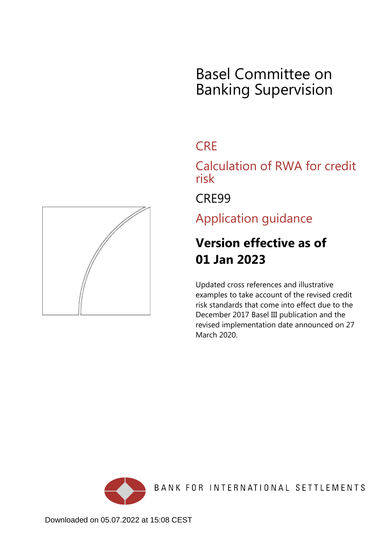# Basel Committee on Banking Supervision

## **CRF**

Calculation of RWA for credit risk

CRE99

Application guidance

## **Version effective as of 01 Jan 2023**

Updated cross references and illustrative examples to take account of the revised credit risk standards that come into effect due to the December 2017 Basel III publication and the revised implementation date announced on 27 March 2020.



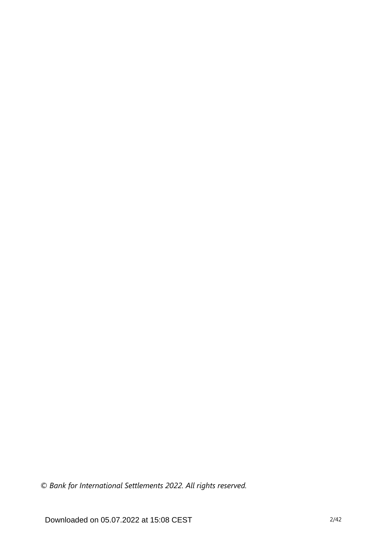*© Bank for International Settlements 2022. All rights reserved.*

Downloaded on 05.07.2022 at 15:08 CEST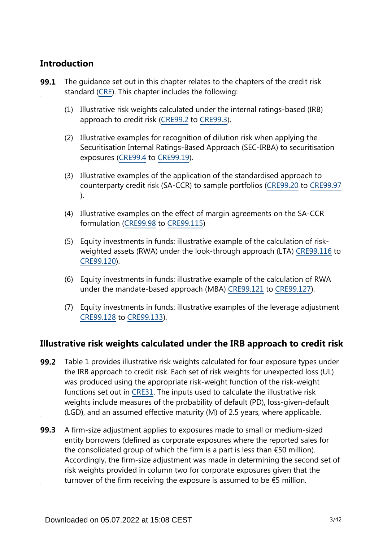## **Introduction**

- The guidance set out in this chapter relates to the chapters of the credit risk standard [\(CRE](https://www.bis.org/basel_framework/standard/CRE.htm)). This chapter includes the following: **99.1**
	- (1) Illustrative risk weights calculated under the internal ratings-based (IRB) approach to credit risk [\(CRE99.2](https://www.bis.org/basel_framework/chapter/CRE/99.htm?inforce=20230101&published=20200327#paragraph_CRE_99_20230101_99_2) to [CRE99.3](https://www.bis.org/basel_framework/chapter/CRE/99.htm?inforce=20230101&published=20200327#paragraph_CRE_99_20230101_99_3)).
	- (2) Illustrative examples for recognition of dilution risk when applying the Securitisation Internal Ratings-Based Approach (SEC-IRBA) to securitisation exposures ([CRE99.4](https://www.bis.org/basel_framework/chapter/CRE/99.htm?inforce=20230101&published=20200327#paragraph_CRE_99_20230101_99_4) to [CRE99.19](https://www.bis.org/basel_framework/chapter/CRE/99.htm?inforce=20230101&published=20200327#paragraph_CRE_99_20230101_99_19)).
	- (3) Illustrative examples of the application of the standardised approach to counterparty credit risk (SA-CCR) to sample portfolios [\(CRE99.20](https://www.bis.org/basel_framework/chapter/CRE/99.htm?inforce=20230101&published=20200327#paragraph_CRE_99_20230101_99_20) to [CRE99.97](https://www.bis.org/basel_framework/chapter/CRE/99.htm?inforce=20230101&published=20200327#paragraph_CRE_99_20230101_99_97) ).
	- (4) Illustrative examples on the effect of margin agreements on the SA-CCR formulation [\(CRE99.98](https://www.bis.org/basel_framework/chapter/CRE/99.htm?inforce=20230101&published=20200327#paragraph_CRE_99_20230101_99_98) to [CRE99.115\)](https://www.bis.org/basel_framework/chapter/CRE/99.htm?inforce=20230101&published=20200327#paragraph_CRE_99_20230101_99_115)
	- (5) Equity investments in funds: illustrative example of the calculation of riskweighted assets (RWA) under the look-through approach (LTA) [CRE99.116](https://www.bis.org/basel_framework/chapter/CRE/99.htm?inforce=20230101&published=20200327#paragraph_CRE_99_20230101_99_116) to [CRE99.120](https://www.bis.org/basel_framework/chapter/CRE/99.htm?inforce=20230101&published=20200327#paragraph_CRE_99_20230101_99_120)).
	- (6) Equity investments in funds: illustrative example of the calculation of RWA under the mandate-based approach (MBA) [CRE99.121](https://www.bis.org/basel_framework/chapter/CRE/99.htm?inforce=20230101&published=20200327#paragraph_CRE_99_20230101_99_121) to [CRE99.127\)](https://www.bis.org/basel_framework/chapter/CRE/99.htm?inforce=20230101&published=20200327#paragraph_CRE_99_20230101_99_127).
	- (7) Equity investments in funds: illustrative examples of the leverage adjustment [CRE99.128](https://www.bis.org/basel_framework/chapter/CRE/99.htm?inforce=20230101&published=20200327#paragraph_CRE_99_20230101_99_128) to [CRE99.133\)](https://www.bis.org/basel_framework/chapter/CRE/99.htm?inforce=20230101&published=20200327#paragraph_CRE_99_20230101_99_133).

### **Illustrative risk weights calculated under the IRB approach to credit risk**

- **99.2** Table 1 provides illustrative risk weights calculated for four exposure types under the IRB approach to credit risk. Each set of risk weights for unexpected loss (UL) was produced using the appropriate risk-weight function of the risk-weight functions set out in [CRE31.](https://www.bis.org/basel_framework/chapter/CRE/31.htm?inforce=20230101&published=20200327) The inputs used to calculate the illustrative risk weights include measures of the probability of default (PD), loss-given-default (LGD), and an assumed effective maturity (M) of 2.5 years, where applicable.
- **99.3** A firm-size adjustment applies to exposures made to small or medium-sized entity borrowers (defined as corporate exposures where the reported sales for the consolidated group of which the firm is a part is less than  $\epsilon$ 50 million). Accordingly, the firm-size adjustment was made in determining the second set of risk weights provided in column two for corporate exposures given that the turnover of the firm receiving the exposure is assumed to be  $\epsilon$ 5 million.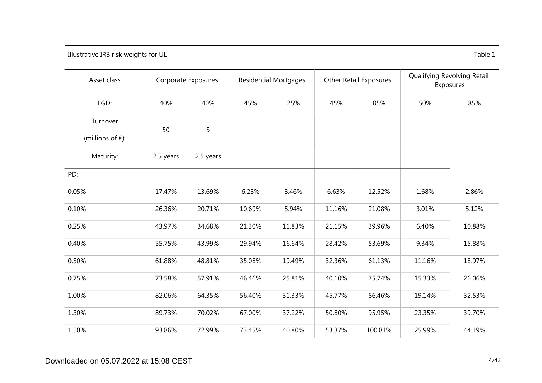Illustrative IRB risk weights for UL Table 1

| Asset class                               |           | Corporate Exposures | <b>Residential Mortgages</b> |        | <b>Other Retail Exposures</b> |         | Qualifying Revolving Retail<br>Exposures |        |
|-------------------------------------------|-----------|---------------------|------------------------------|--------|-------------------------------|---------|------------------------------------------|--------|
| LGD:                                      | 40%       | 40%                 | 45%                          | 25%    | 45%                           | 85%     | 50%                                      | 85%    |
| Turnover<br>(millions of $\varepsilon$ ): | 50        | 5                   |                              |        |                               |         |                                          |        |
| Maturity:                                 | 2.5 years | 2.5 years           |                              |        |                               |         |                                          |        |
| PD:                                       |           |                     |                              |        |                               |         |                                          |        |
| 0.05%                                     | 17.47%    | 13.69%              | 6.23%                        | 3.46%  | 6.63%                         | 12.52%  | 1.68%                                    | 2.86%  |
| 0.10%                                     | 26.36%    | 20.71%              | 10.69%                       | 5.94%  | 11.16%                        | 21.08%  | 3.01%                                    | 5.12%  |
| 0.25%                                     | 43.97%    | 34.68%              | 21.30%                       | 11.83% | 21.15%                        | 39.96%  | 6.40%                                    | 10.88% |
| 0.40%                                     | 55.75%    | 43.99%              | 29.94%                       | 16.64% | 28.42%                        | 53.69%  | 9.34%                                    | 15.88% |
| 0.50%                                     | 61.88%    | 48.81%              | 35.08%                       | 19.49% | 32.36%                        | 61.13%  | 11.16%                                   | 18.97% |
| 0.75%                                     | 73.58%    | 57.91%              | 46.46%                       | 25.81% | 40.10%                        | 75.74%  | 15.33%                                   | 26.06% |
| 1.00%                                     | 82.06%    | 64.35%              | 56.40%                       | 31.33% | 45.77%                        | 86.46%  | 19.14%                                   | 32.53% |
| 1.30%                                     | 89.73%    | 70.02%              | 67.00%                       | 37.22% | 50.80%                        | 95.95%  | 23.35%                                   | 39.70% |
| 1.50%                                     | 93.86%    | 72.99%              | 73.45%                       | 40.80% | 53.37%                        | 100.81% | 25.99%                                   | 44.19% |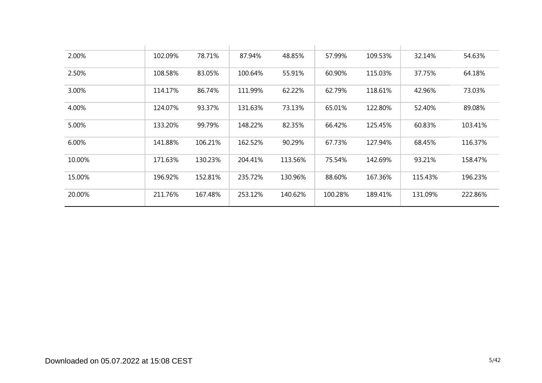| 2.00%  | 102.09% | 78.71%  | 87.94%  | 48.85%  | 57.99%  | 109.53% | 32.14%  | 54.63%  |
|--------|---------|---------|---------|---------|---------|---------|---------|---------|
| 2.50%  | 108.58% | 83.05%  | 100.64% | 55.91%  | 60.90%  | 115.03% | 37.75%  | 64.18%  |
| 3.00%  | 114.17% | 86.74%  | 111.99% | 62.22%  | 62.79%  | 118.61% | 42.96%  | 73.03%  |
| 4.00%  | 124.07% | 93.37%  | 131.63% | 73.13%  | 65.01%  | 122.80% | 52.40%  | 89.08%  |
| 5.00%  | 133.20% | 99.79%  | 148.22% | 82.35%  | 66.42%  | 125.45% | 60.83%  | 103.41% |
| 6.00%  | 141.88% | 106.21% | 162.52% | 90.29%  | 67.73%  | 127.94% | 68.45%  | 116.37% |
| 10.00% | 171.63% | 130.23% | 204.41% | 113.56% | 75.54%  | 142.69% | 93.21%  | 158.47% |
| 15.00% | 196.92% | 152.81% | 235.72% | 130.96% | 88.60%  | 167.36% | 115.43% | 196.23% |
| 20.00% | 211.76% | 167.48% | 253.12% | 140.62% | 100.28% | 189.41% | 131.09% | 222.86% |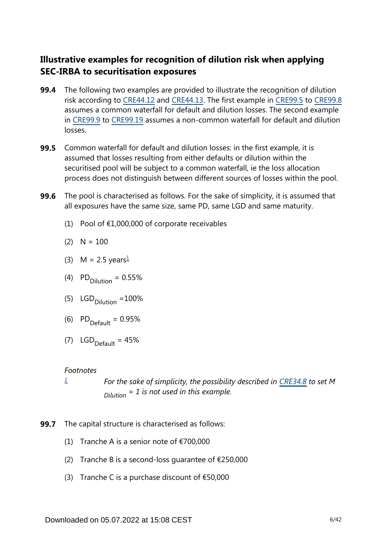## **Illustrative examples for recognition of dilution risk when applying SEC-IRBA to securitisation exposures**

- The following two examples are provided to illustrate the recognition of dilution risk according to [CRE44.12](https://www.bis.org/basel_framework/chapter/CRE/44.htm?inforce=20230101&published=20200327#paragraph_CRE_44_20230101_44_12) and [CRE44.13](https://www.bis.org/basel_framework/chapter/CRE/44.htm?inforce=20230101&published=20200327#paragraph_CRE_44_20230101_44_13). The first example in [CRE99.5](https://www.bis.org/basel_framework/chapter/CRE/99.htm?inforce=20230101&published=20200327#paragraph_CRE_99_20230101_99_5) to [CRE99.8](https://www.bis.org/basel_framework/chapter/CRE/99.htm?inforce=20230101&published=20200327#paragraph_CRE_99_20230101_99_8) assumes a common waterfall for default and dilution losses. The second example in [CRE99.9](https://www.bis.org/basel_framework/chapter/CRE/99.htm?inforce=20230101&published=20200327#paragraph_CRE_99_20230101_99_9) to [CRE99.19](https://www.bis.org/basel_framework/chapter/CRE/99.htm?inforce=20230101&published=20200327#paragraph_CRE_99_20230101_99_19) assumes a non-common waterfall for default and dilution losses. **99.4**
- **99.5** Common waterfall for default and dilution losses: in the first example, it is assumed that losses resulting from either defaults or dilution within the securitised pool will be subject to a common waterfall, ie the loss allocation process does not distinguish between different sources of losses within the pool.
- <span id="page-5-1"></span>The pool is characterised as follows. For the sake of simplicity, it is assumed that all exposures have the same size, same PD, same LGD and same maturity. **99.6**
	- (1) Pool of  $£1,000,000$  of corporate receivables
	- $(2)$  N = 100
	- (3) M = 2.5 years $\frac{1}{2}$  $\frac{1}{2}$  $\frac{1}{2}$
	- (4)  $PD_{\text{Dilution}} = 0.55\%$
	- (5)  $LGD_{\text{Dilution}} = 100\%$
	- (6)  $PD_{\text{Default}} = 0.95\%$
	- (7)  $LGD_{\text{Default}} = 45\%$

#### *Footnotes*

*[1](#page-5-1)*

*For the sake of simplicity, the possibility described in [CRE34.8](https://www.bis.org/basel_framework/chapter/CRE/34.htm?inforce=20230101&published=20201126#paragraph_CRE_34_20230101_34_8) to set M = 1 is not used in this example. Dilution*

- <span id="page-5-0"></span>**99.7** The capital structure is characterised as follows:
	- (1) Tranche A is a senior note of  $\epsilon$ 700,000
	- (2) Tranche B is a second-loss quarantee of  $\epsilon$ 250,000
	- (3) Tranche C is a purchase discount of  $£50,000$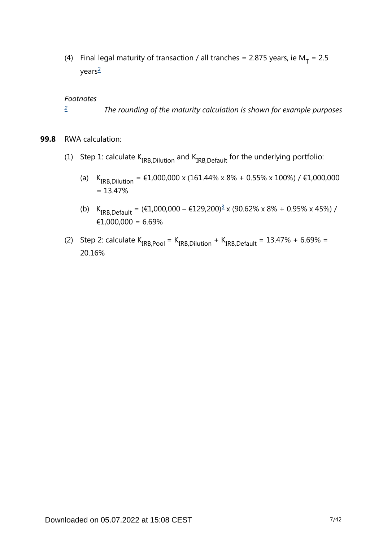<span id="page-6-1"></span>(4) Final legal maturity of transaction / all tranches = 2.875 years, ie  $M_T = 2.5$ years[2](#page-6-0)

#### *Footnotes*

- *The rounding of the maturity calculation is shown for example purposes [2](#page-6-1)*
- <span id="page-6-2"></span><span id="page-6-0"></span>**99.8** RWA calculation:
	- (1) Step 1: calculate  $K_{IRB. Dilution}$  and  $K_{IRB.Default}$  for the underlying portfolio:
		- (a)  $K_{IRB, Dilution} = \text{\textsterling}1,000,000 \times (161.44\% \times 8\% + 0.55\% \times 100\%) / \text{\textsterling}1,000,000$  $= 13.47%$
		- (b)  $K_{IRB,Default} = (\text{\textsterling}1,000,000 \text{\textsterling}129,200)^{\frac{3}{2}} \times (90.62\% \times 8\% + 0.95\% \times 45\%)$  $K_{IRB,Default} = (\text{\textsterling}1,000,000 \text{\textsterling}129,200)^{\frac{3}{2}} \times (90.62\% \times 8\% + 0.95\% \times 45\%)$  $K_{IRB,Default} = (\text{\textsterling}1,000,000 \text{\textsterling}129,200)^{\frac{3}{2}} \times (90.62\% \times 8\% + 0.95\% \times 45\%)$  / €1,000,000 = 6.69%
	- (2) Step 2: calculate  $K_{IRB,Pool} = K_{IRB, Dilution} + K_{IRB,Default} = 13.47\% + 6.69\% =$ 20.16%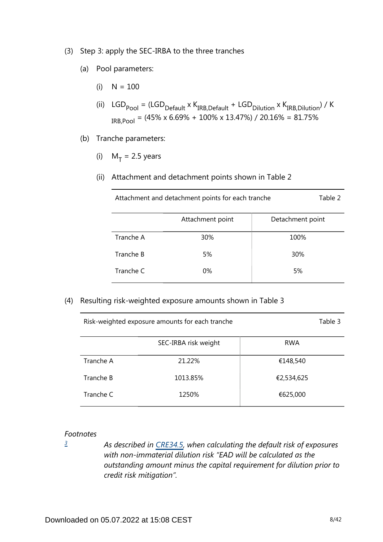- (3) Step 3: apply the SEC-IRBA to the three tranches
	- (a) Pool parameters:
		- $(i)$  N = 100
		- (ii)  $LGD_{\text{pool}} = (LGD_{\text{Default}} \times K_{\text{IRB},\text{Default}} + \text{LGD}_{\text{Dilution}} \times K_{\text{IRB},\text{Dilution}}) / K$  $_{IRB,Pool}$  = (45% x 6.69% + 100% x 13.47%) / 20.16% = 81.75%
	- (b) Tranche parameters:
		- (i)  $M_T = 2.5$  years
		- (ii) Attachment and detachment points shown in Table 2

| Attachment and detachment points for each tranche |  | Table 2 |
|---------------------------------------------------|--|---------|
|---------------------------------------------------|--|---------|

|           | Attachment point | Detachment point |
|-----------|------------------|------------------|
| Tranche A | 30%              | 100%             |
| Tranche B | 5%               | 30%              |
| Tranche C | 0%               | 5%               |

(4) Resulting risk-weighted exposure amounts shown in Table 3

|           | SEC-IRBA risk weight | <b>RWA</b> |
|-----------|----------------------|------------|
| Tranche A | 21.22%               | €148,540   |
| Tranche B | 1013.85%             | €2,534,625 |
| Tranche C | 1250%                | €625,000   |

Risk-weighted exposure amounts for each tranche Table 3

#### *Footnotes*

<span id="page-7-0"></span>*[3](#page-6-2)*

*As described in [CRE34.5,](https://www.bis.org/basel_framework/chapter/CRE/34.htm?inforce=20230101&published=20201126#paragraph_CRE_34_20230101_34_5) when calculating the default risk of exposures with non-immaterial dilution risk "EAD will be calculated as the outstanding amount minus the capital requirement for dilution prior to credit risk mitigation".*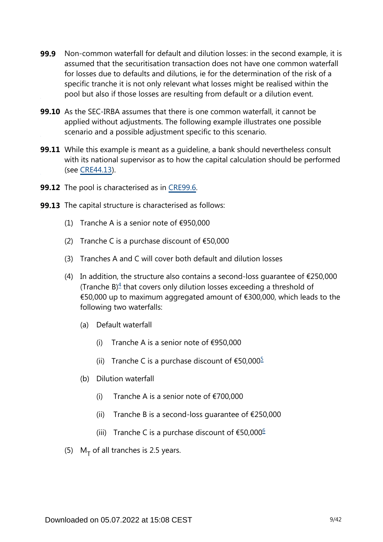- Non-common waterfall for default and dilution losses: in the second example, it is assumed that the securitisation transaction does not have one common waterfall for losses due to defaults and dilutions, ie for the determination of the risk of a specific tranche it is not only relevant what losses might be realised within the pool but also if those losses are resulting from default or a dilution event. **99.9**
- **99.10** As the SEC-IRBA assumes that there is one common waterfall, it cannot be applied without adjustments. The following example illustrates one possible scenario and a possible adjustment specific to this scenario.
- While this example is meant as a guideline, a bank should nevertheless consult **99.11** with its national supervisor as to how the capital calculation should be performed (see [CRE44.13\)](https://www.bis.org/basel_framework/chapter/CRE/44.htm?inforce=20230101&published=20200327#paragraph_CRE_44_20230101_44_13).
- **99.12** The pool is characterised as in [CRE99.6.](https://www.bis.org/basel_framework/chapter/CRE/99.htm?inforce=20230101&published=20200327#paragraph_CRE_99_20230101_99_6)
- <span id="page-8-2"></span><span id="page-8-1"></span><span id="page-8-0"></span>**99.13** The capital structure is characterised as follows:
	- (1) Tranche A is a senior note of  $\epsilon$ 950,000
	- (2) Tranche C is a purchase discount of  $£50,000$
	- (3) Tranches A and C will cover both default and dilution losses
	- (4) In addition, the structure also contains a second-loss quarantee of  $\epsilon$ 250,000 (Tranche  $B$ )<sup> $4$ </sup> that covers only dilution losses exceeding a threshold of €50,000 up to maximum aggregated amount of €300,000, which leads to the following two waterfalls:
		- (a) Default waterfall
			- (i) Tranche A is a senior note of  $\epsilon$ 950,000
			- (ii) Tranche C is a purchase discount of  $\text{\$50,000}^{\text{\$}}$  $\text{\$50,000}^{\text{\$}}$  $\text{\$50,000}^{\text{\$}}$
		- (b) Dilution waterfall
			- (i) Tranche A is a senior note of  $\epsilon$ 700,000
			- (ii) Tranche B is a second-loss quarantee of  $E$ 250,000
			- (iii) Tranche C is a purchase discount of  $€50,000$ <sup>[6](#page-9-2)</sup>
	- (5)  $M_T$  of all tranches is 2.5 years.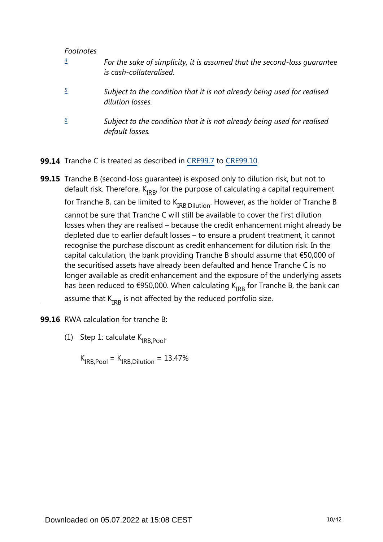#### *Footnotes*

<span id="page-9-1"></span><span id="page-9-0"></span>

| $\boldsymbol{4}$ | For the sake of simplicity, it is assumed that the second-loss quarantee<br>is cash-collateralised. |
|------------------|-----------------------------------------------------------------------------------------------------|
|                  | Subject to the condition that it is not already being used for realised<br>dilution losses.         |
| 6                | Subject to the condition that it is not already being used for realised<br>default losses.          |

- <span id="page-9-2"></span>**99.14** Tranche C is treated as described in [CRE99.7](https://www.bis.org/basel_framework/chapter/CRE/99.htm?inforce=20230101&published=20200327#paragraph_CRE_99_20230101_99_7) to [CRE99.10](https://www.bis.org/basel_framework/chapter/CRE/99.htm?inforce=20230101&published=20200327#paragraph_CRE_99_20230101_99_10).
- **99.15** Tranche B (second-loss guarantee) is exposed only to dilution risk, but not to default risk. Therefore,  $K_{IRB}$ , for the purpose of calculating a capital requirement for Tranche B, can be limited to  $K_{IRB.Dilution}$ . However, as the holder of Tranche B cannot be sure that Tranche C will still be available to cover the first dilution losses when they are realised – because the credit enhancement might already be depleted due to earlier default losses – to ensure a prudent treatment, it cannot recognise the purchase discount as credit enhancement for dilution risk. In the capital calculation, the bank providing Tranche B should assume that €50,000 of the securitised assets have already been defaulted and hence Tranche C is no longer available as credit enhancement and the exposure of the underlying assets has been reduced to €950,000. When calculating  $K_{IRR}$  for Tranche B, the bank can assume that  $K_{IRR}$  is not affected by the reduced portfolio size.
- **99.16** RWA calculation for tranche B:
	- (1) Step 1: calculate  $K_{IRB.Pool}$ .

 $K_{IRB,Pool} = K_{IRB. Dilution} = 13.47\%$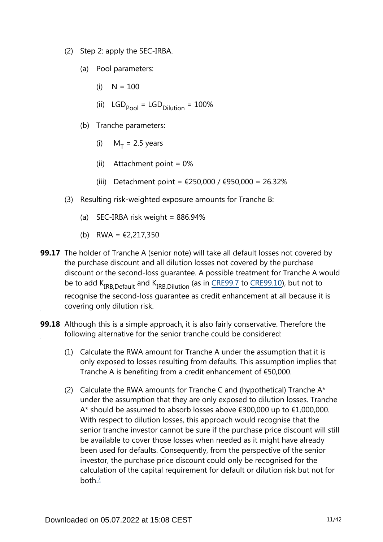- (2) Step 2: apply the SEC-IRBA.
	- (a) Pool parameters:
		- $(i)$  N = 100
		- (ii)  $LGD_{\text{Pool}} = LGD_{\text{Dilution}} = 100\%$
	- (b) Tranche parameters:
		- (i)  $M_T = 2.5$  years
		- (ii) Attachment point  $= 0\%$
		- (iii) Detachment point = €250,000 / €950,000 = 26.32%
- (3) Resulting risk-weighted exposure amounts for Tranche B:
	- (a) SEC-IRBA risk weight =  $886.94\%$
	- (b) RWA =  $\text{\textsterling}2,217,350$
- **99.17** The holder of Tranche A (senior note) will take all default losses not covered by the purchase discount and all dilution losses not covered by the purchase discount or the second-loss guarantee. A possible treatment for Tranche A would beto add  $K_{IRR\,Default}$  and  $K_{IRR\,Dilution}$  (as in CRE99.7 to CRE99.10), but not to recognise the second-loss guarantee as credit enhancement at all because it is covering only dilution risk.
- <span id="page-10-0"></span>**99.18** Although this is a simple approach, it is also fairly conservative. Therefore the following alternative for the senior tranche could be considered:
	- (1) Calculate the RWA amount for Tranche A under the assumption that it is only exposed to losses resulting from defaults. This assumption implies that Tranche A is benefiting from a credit enhancement of €50,000.
	- (2) Calculate the RWA amounts for Tranche C and (hypothetical) Tranche  $A^*$ under the assumption that they are only exposed to dilution losses. Tranche A\* should be assumed to absorb losses above €300,000 up to €1,000,000. With respect to dilution losses, this approach would recognise that the senior tranche investor cannot be sure if the purchase price discount will still be available to cover those losses when needed as it might have already been used for defaults. Consequently, from the perspective of the senior investor, the purchase price discount could only be recognised for the calculation of the capital requirement for default or dilution risk but not for both $\frac{7}{2}$  $\frac{7}{2}$  $\frac{7}{2}$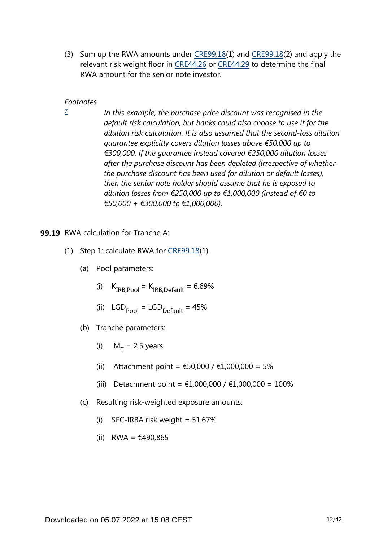(3) Sum up the RWA amounts under [CRE99.18](https://www.bis.org/basel_framework/chapter/CRE/99.htm?inforce=20230101&published=20200327#paragraph_CRE_99_20230101_99_18)(1) and [CRE99.18\(](https://www.bis.org/basel_framework/chapter/CRE/99.htm?inforce=20230101&published=20200327#paragraph_CRE_99_20230101_99_18)2) and apply the relevant risk weight floor in [CRE44.26](https://www.bis.org/basel_framework/chapter/CRE/44.htm?inforce=20230101&published=20200327#paragraph_CRE_44_20230101_44_26) or [CRE44.29](https://www.bis.org/basel_framework/chapter/CRE/44.htm?inforce=20230101&published=20200327#paragraph_CRE_44_20230101_44_29) to determine the final RWA amount for the senior note investor.

#### *Footnotes*

<span id="page-11-0"></span>*[7](#page-10-0)*

*In this example, the purchase price discount was recognised in the default risk calculation, but banks could also choose to use it for the dilution risk calculation. It is also assumed that the second-loss dilution guarantee explicitly covers dilution losses above €50,000 up to €300,000. If the guarantee instead covered €250,000 dilution losses after the purchase discount has been depleted (irrespective of whether the purchase discount has been used for dilution or default losses), then the senior note holder should assume that he is exposed to dilution losses from €250,000 up to €1,000,000 (instead of €0 to €50,000 + €300,000 to €1,000,000).*

#### **99.19** RWA calculation for Tranche A:

- (1) Step 1: calculate RWA for [CRE99.18](https://www.bis.org/basel_framework/chapter/CRE/99.htm?inforce=20230101&published=20200327#paragraph_CRE_99_20230101_99_18)(1).
	- (a) Pool parameters:
		- (i)  $K_{IRB,Pool} = K_{IRB,Default} = 6.69\%$
		- (ii)  $LGD_{pool} = LGD_{Default} = 45%$
	- (b) Tranche parameters:
		- (i)  $M_T = 2.5$  years
		- (ii) Attachment point =  $€50,000 / €1,000,000 = 5%$
		- (iii) Detachment point = €1,000,000 / €1,000,000 = 100%
	- (c) Resulting risk-weighted exposure amounts:
		- (i) SEC-IRBA risk weight =  $51.67\%$
		- (ii) RWA = €490,865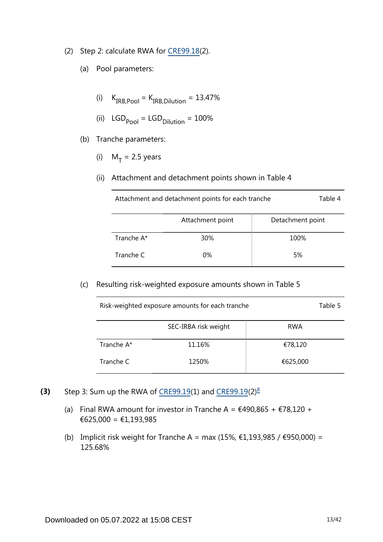- (2) Step 2: calculate RWA for [CRE99.18](https://www.bis.org/basel_framework/chapter/CRE/99.htm?inforce=20230101&published=20200327#paragraph_CRE_99_20230101_99_18)(2).
	- (a) Pool parameters:
		- (i)  $K_{IRB,Pool} = K_{IRB,Dilution} = 13.47\%$
		- (ii)  $LGD_{pool} = LGD_{Dilution} = 100%$
	- (b) Tranche parameters:
		- (i)  $M_T = 2.5$  years
		- (ii) Attachment and detachment points shown in Table 4

| Attachment and detachment points for each tranche | Table 4 |
|---------------------------------------------------|---------|
|                                                   |         |

|            | Attachment point | Detachment point |
|------------|------------------|------------------|
| Tranche A* | 30%              | 100%             |
| Tranche C  | 0%               | 5%               |

(c) Resulting risk-weighted exposure amounts shown in Table 5

| Risk-weighted exposure amounts for each tranche |                      |            |  |  |  |  |
|-------------------------------------------------|----------------------|------------|--|--|--|--|
|                                                 | SEC-IRBA risk weight | <b>RWA</b> |  |  |  |  |
| Tranche A*                                      | 11.16%               | €78,120    |  |  |  |  |
| Tranche C                                       | 1250%                | €625,000   |  |  |  |  |

- <span id="page-12-0"></span>Step 3: Sum up the RWA of [CRE99.19](https://www.bis.org/basel_framework/chapter/CRE/99.htm?inforce=20230101&published=20200327#paragraph_CRE_99_20230101_99_19)(1) and [CRE99.19\(](https://www.bis.org/basel_framework/chapter/CRE/99.htm?inforce=20230101&published=20200327#paragraph_CRE_99_20230101_99_19)2) $\frac{8}{3}$  $\frac{8}{3}$  $\frac{8}{3}$ **(3)**
	- (a) Final RWA amount for investor in Tranche A =  $\text{\textsterling}490,865 + \text{\textsterling}78,120 +$ €625,000 = €1,193,985
	- (b) Implicit risk weight for Tranche A = max (15%,  $€1,193,985 / €950,000) =$ 125.68%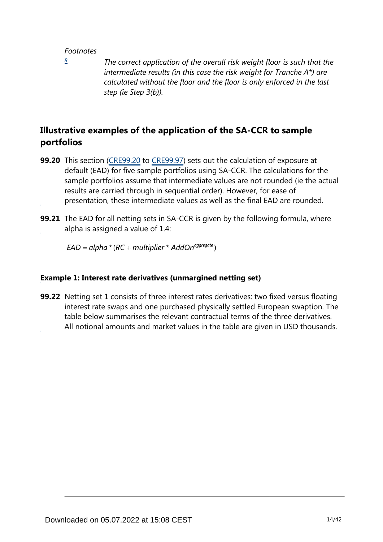#### *Footnotes*

<span id="page-13-0"></span>*[8](#page-12-0)*

*The correct application of the overall risk weight floor is such that the intermediate results (in this case the risk weight for Tranche A\*) are calculated without the floor and the floor is only enforced in the last step (ie Step 3(b)).*

## **Illustrative examples of the application of the SA-CCR to sample portfolios**

- **99.20** This section [\(CRE99.20](https://www.bis.org/basel_framework/chapter/CRE/99.htm?inforce=20230101&published=20200327#paragraph_CRE_99_20230101_99_20) to [CRE99.97](https://www.bis.org/basel_framework/chapter/CRE/99.htm?inforce=20230101&published=20200327#paragraph_CRE_99_20230101_99_97)) sets out the calculation of exposure at default (EAD) for five sample portfolios using SA-CCR. The calculations for the sample portfolios assume that intermediate values are not rounded (ie the actual results are carried through in sequential order). However, for ease of presentation, these intermediate values as well as the final EAD are rounded.
- **99.21** The EAD for all netting sets in SA-CCR is given by the following formula, where alpha is assigned a value of 1.4:

 $EAD = alpha * (RC + multiplier * AddOn<sup>aggregate</sup>)$ 

#### **Example 1: Interest rate derivatives (unmargined netting set)**

**99.22** Netting set 1 consists of three interest rates derivatives: two fixed versus floating interest rate swaps and one purchased physically settled European swaption. The table below summarises the relevant contractual terms of the three derivatives. All notional amounts and market values in the table are given in USD thousands.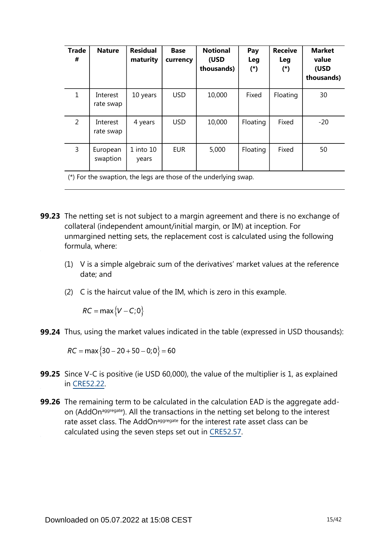| <b>Trade</b><br># | <b>Nature</b>         | <b>Residual</b><br>maturity | <b>Base</b><br>currency | <b>Notional</b><br>(USD<br>thousands) | Pay<br><b>Leg</b><br>$(*)$ | <b>Receive</b><br>Leg<br>$(*)$ | <b>Market</b><br>value<br>(USD<br>thousands) |
|-------------------|-----------------------|-----------------------------|-------------------------|---------------------------------------|----------------------------|--------------------------------|----------------------------------------------|
| $\mathbf{1}$      | Interest<br>rate swap | 10 years                    | <b>USD</b>              | 10,000                                | Fixed                      | Floating                       | 30                                           |
| 2                 | Interest<br>rate swap | 4 years                     | <b>USD</b>              | 10,000                                | Floating                   | Fixed                          | $-20$                                        |
| 3                 | European<br>swaption  | $1$ into $10$<br>years      | <b>EUR</b>              | 5,000                                 | Floating                   | Fixed                          | 50                                           |

(\*) For the swaption, the legs are those of the underlying swap.

- **99.23** The netting set is not subject to a margin agreement and there is no exchange of collateral (independent amount/initial margin, or IM) at inception. For unmargined netting sets, the replacement cost is calculated using the following formula, where:
	- (1) V is a simple algebraic sum of the derivatives' market values at the reference date; and
	- (2) C is the haircut value of the IM, which is zero in this example.

 $RC = \max\{V - C; 0\}$ 

**99.24** Thus, using the market values indicated in the table (expressed in USD thousands):

 $RC = \max\{30 - 20 + 50 - 0, 0\} = 60$ 

- **99.25** Since V-C is positive (ie USD 60,000), the value of the multiplier is 1, as explained in [CRE52.22](https://www.bis.org/basel_framework/chapter/CRE/52.htm?inforce=20230101&published=20200605#paragraph_CRE_52_20230101_52_22).
- **99.26** The remaining term to be calculated in the calculation EAD is the aggregate addon (AddOn<sup>aggregate</sup>). All the transactions in the netting set belong to the interest rate asset class. The AddOn<sup>aggregate</sup> for the interest rate asset class can be calculated using the seven steps set out in [CRE52.57](https://www.bis.org/basel_framework/chapter/CRE/52.htm?inforce=20230101&published=20200605#paragraph_CRE_52_20230101_52_57).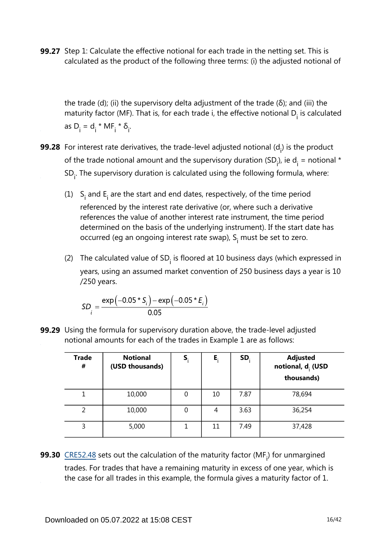**99.27** Step 1: Calculate the effective notional for each trade in the netting set. This is calculated as the product of the following three terms: (i) the adjusted notional of

the trade (d); (ii) the supervisory delta adjustment of the trade (δ); and (iii) the maturity factor (MF). That is, for each trade i, the effective notional  $D_i$  is calculated as  $D_i = d_i * MF_i * \delta_i$ .

- **99.28** For interest rate derivatives, the trade-level adjusted notional (d<sub>i</sub>) is the product of the trade notional amount and the supervisory duration (SD<sub>i</sub>), ie d<sub>i</sub> = notional \*  $SD<sub>i</sub>$ . The supervisory duration is calculated using the following formula, where:
	- (1) S<sub>i</sub> and E<sub>i</sub> are the start and end dates, respectively, of the time period referenced by the interest rate derivative (or, where such a derivative references the value of another interest rate instrument, the time period determined on the basis of the underlying instrument). If the start date has occurred (eg an ongoing interest rate swap),  $S<sub>i</sub>$  must be set to zero.
	- (2) The calculated value of  $SD<sub>i</sub>$  is floored at 10 business days (which expressed in years, using an assumed market convention of 250 business days a year is 10 /250 years.

$$
SD_i = \frac{\exp(-0.05 \times S_i) - \exp(-0.05 \times E_i)}{0.05}
$$

**99.29** Using the formula for supervisory duration above, the trade-level adjusted notional amounts for each of the trades in Example 1 are as follows:

| <b>Trade</b><br># | <b>Notional</b><br>(USD thousands) | S, | Е, | SD.  | <b>Adjusted</b><br>notional, d <sub>i</sub> (USD<br>thousands) |
|-------------------|------------------------------------|----|----|------|----------------------------------------------------------------|
|                   | 10,000                             | 0  | 10 | 7.87 | 78,694                                                         |
| 2                 | 10,000                             | 0  | 4  | 3.63 | 36,254                                                         |
| 3                 | 5,000                              |    | 11 | 7.49 | 37,428                                                         |

**99.30**  $\frac{\text{CRE52.48}}{\text{Sets}}$  $\frac{\text{CRE52.48}}{\text{Sets}}$  $\frac{\text{CRE52.48}}{\text{Sets}}$  sets out the calculation of the maturity factor (MF<sub>i</sub>) for unmargined trades. For trades that have a remaining maturity in excess of one year, which is the case for all trades in this example, the formula gives a maturity factor of 1.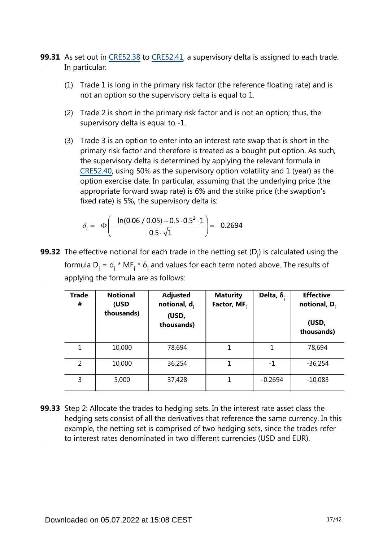- **99.31** As set out in [CRE52.38](https://www.bis.org/basel_framework/chapter/CRE/52.htm?inforce=20230101&published=20200605#paragraph_CRE_52_20230101_52_38) to [CRE52.41](https://www.bis.org/basel_framework/chapter/CRE/52.htm?inforce=20230101&published=20200605#paragraph_CRE_52_20230101_52_41), a supervisory delta is assigned to each trade. In particular:
	- (1) Trade 1 is long in the primary risk factor (the reference floating rate) and is not an option so the supervisory delta is equal to 1.
	- (2) Trade 2 is short in the primary risk factor and is not an option; thus, the supervisory delta is equal to -1.
	- (3) Trade 3 is an option to enter into an interest rate swap that is short in the primary risk factor and therefore is treated as a bought put option. As such, the supervisory delta is determined by applying the relevant formula in [CRE52.40,](https://www.bis.org/basel_framework/chapter/CRE/52.htm?inforce=20230101&published=20200605#paragraph_CRE_52_20230101_52_40) using 50% as the supervisory option volatility and 1 (year) as the option exercise date. In particular, assuming that the underlying price (the appropriate forward swap rate) is 6% and the strike price (the swaption's fixed rate) is 5%, the supervisory delta is:

$$
\delta_i = -\Phi \left( -\frac{\ln(0.06 / 0.05) + 0.5 \cdot 0.5^2 \cdot 1}{0.5 \cdot \sqrt{1}} \right) = -0.2694
$$

**99.32** The effective notional for each trade in the netting set (D<sub>i</sub>) is calculated using the formula  $D_i = d_i * MF_i * \delta_i$  and values for each term noted above. The results of applying the formula are as follows:

| <b>Trade</b><br># | <b>Notional</b><br>(USD<br>thousands) | <b>Adjusted</b><br>notional, $d_i$<br>(USD,<br>thousands) | <b>Maturity</b><br>Factor, MF. | Delta, $\delta$ . | <b>Effective</b><br>notional, $D_i$<br>(USD,<br>thousands) |
|-------------------|---------------------------------------|-----------------------------------------------------------|--------------------------------|-------------------|------------------------------------------------------------|
| 1                 | 10,000                                | 78,694                                                    |                                | 1                 | 78,694                                                     |
| 2                 | 10,000                                | 36,254                                                    | 1                              | $-1$              | $-36,254$                                                  |
| 3                 | 5,000                                 | 37,428                                                    | 1                              | $-0.2694$         | $-10,083$                                                  |

**99.33** Step 2: Allocate the trades to hedging sets. In the interest rate asset class the hedging sets consist of all the derivatives that reference the same currency. In this example, the netting set is comprised of two hedging sets, since the trades refer to interest rates denominated in two different currencies (USD and EUR).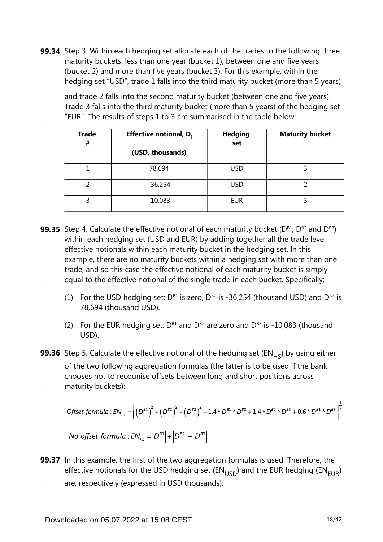**99.34** Step 3: Within each hedging set allocate each of the trades to the following three maturity buckets: less than one year (bucket 1), between one and five years (bucket 2) and more than five years (bucket 3). For this example, within the hedging set "USD", trade 1 falls into the third maturity bucket (more than 5 years)

and trade 2 falls into the second maturity bucket (between one and five years). Trade 3 falls into the third maturity bucket (more than 5 years) of the hedging set "EUR". The results of steps 1 to 3 are summarised in the table below:

| <b>Trade</b><br># | <b>Effective notional, D.</b> | <b>Hedging</b><br>set | <b>Maturity bucket</b> |
|-------------------|-------------------------------|-----------------------|------------------------|
|                   | (USD, thousands)              |                       |                        |
|                   | 78,694                        | <b>USD</b>            |                        |
| 2                 | $-36,254$                     | <b>USD</b>            |                        |
| 3                 | $-10,083$                     | <b>EUR</b>            |                        |

- **99.35** Step 4: Calculate the effective notional of each maturity bucket (D<sup>B1</sup>, D<sup>B2</sup> and D<sup>B3</sup>) within each hedging set (USD and EUR) by adding together all the trade level effective notionals within each maturity bucket in the hedging set. In this example, there are no maturity buckets within a hedging set with more than one trade, and so this case the effective notional of each maturity bucket is simply equal to the effective notional of the single trade in each bucket. Specifically:
	- (1) For the USD hedging set:  $D^{B1}$  is zero,  $D^{B2}$  is -36,254 (thousand USD) and  $D^{B3}$  is 78,694 (thousand USD).
	- (2) For the EUR hedging set:  $D^{B1}$  and  $D^{B2}$  are zero and  $D^{B3}$  is -10,083 (thousand USD).
- **99.36** Step 5: Calculate the effective notional of the hedging set (EN<sub>HS</sub>) by using either of the two following aggregation formulas (the latter is to be used if the bank chooses not to recognise offsets between long and short positions across maturity buckets):

$$
\begin{aligned} \text{Offset formula}: \text{EN}_{hs} &= \left[ \left( D^{B1} \right)^2 + \left( D^{B2} \right)^2 + \left( D^{B3} \right)^2 + 1.4 \cdot D^{B1} \cdot D^{B2} + 1.4 \cdot D^{B2} \cdot D^{B3} + 0.6 \cdot D^{B1} \cdot D^{B3} \right]^{\frac{1}{2}} \\ \text{No offset formula}: \text{EN}_{hs} &= \left| D^{B1} \right| + \left| D^{B2} \right| + \left| D^{B3} \right| \end{aligned}
$$

**99.37** In this example, the first of the two aggregation formulas is used. Therefore, the effective notionals for the USD hedging set ( $EN_{LISD}$ ) and the EUR hedging ( $EN_{EIB}$ ) are, respectively (expressed in USD thousands):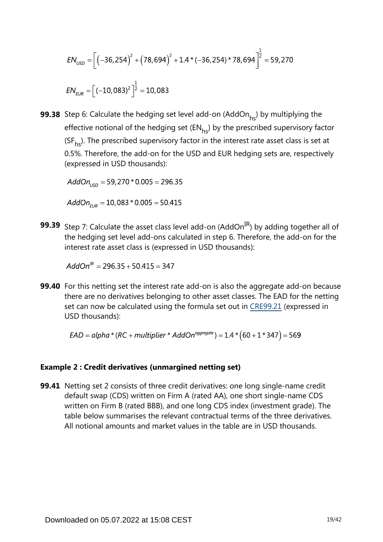$$
EN_{USD} = \left[ \left( -36, 254 \right)^2 + \left( 78, 694 \right)^2 + 1.4 \times \left( -36, 254 \right) \times 78,694 \right]^{\frac{1}{2}} = 59,270
$$
\n
$$
EN_{EUR} = \left[ \left( -10, 083 \right)^2 \right]^{\frac{1}{2}} = 10,083
$$

**99.38** Step 6: Calculate the hedging set level add-on (AddOn<sub>hs</sub>) by multiplying the effective notional of the hedging set  $(EN_{hs})$  by the prescribed supervisory factor ( $SF<sub>hs</sub>$ ). The prescribed supervisory factor in the interest rate asset class is set at 0.5%. Therefore, the add-on for the USD and EUR hedging sets are, respectively (expressed in USD thousands):

 $AddOn_{\text{USD}} = 59,270 * 0.005 = 296.35$ 

 $AddOn_{EUR} = 10,083 * 0.005 = 50.415$ 

**99.39** Step 7: Calculate the asset class level add-on (AddOn<sup>IR</sup>) by adding together all of the hedging set level add-ons calculated in step 6. Therefore, the add-on for the interest rate asset class is (expressed in USD thousands):

 $AddOn^{IR} = 296.35 + 50.415 = 347$ 

**99.40** For this netting set the interest rate add-on is also the aggregate add-on because there are no derivatives belonging to other asset classes. The EAD for the netting set can now be calculated using the formula set out in [CRE99.21](https://www.bis.org/basel_framework/chapter/CRE/99.htm?inforce=20230101&published=20200327#paragraph_CRE_99_20230101_99_21) (expressed in USD thousands):

 $EAD = alpha * (RC + multiplier * AddOn<sup>aggregate</sup>) = 1.4 * (60 + 1 * 347) = 569$ 

#### **Example 2 : Credit derivatives (unmargined netting set)**

**99.41** Netting set 2 consists of three credit derivatives: one long single-name credit default swap (CDS) written on Firm A (rated AA), one short single-name CDS written on Firm B (rated BBB), and one long CDS index (investment grade). The table below summarises the relevant contractual terms of the three derivatives. All notional amounts and market values in the table are in USD thousands.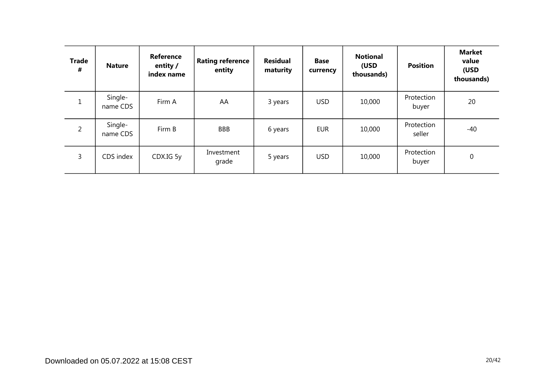| <b>Trade</b><br># | <b>Nature</b>       | Reference<br>entity /<br>index name | <b>Rating reference</b><br>entity | <b>Residual</b><br>maturity | <b>Base</b><br>currency | <b>Notional</b><br>(USD<br>thousands) | <b>Position</b>      | <b>Market</b><br>value<br>(USD<br>thousands) |
|-------------------|---------------------|-------------------------------------|-----------------------------------|-----------------------------|-------------------------|---------------------------------------|----------------------|----------------------------------------------|
| $\mathbf{1}$      | Single-<br>name CDS | Firm A                              | AA                                | 3 years                     | <b>USD</b>              | 10,000                                | Protection<br>buyer  | 20                                           |
| $\overline{2}$    | Single-<br>name CDS | Firm B                              | <b>BBB</b>                        | 6 years                     | <b>EUR</b>              | 10,000                                | Protection<br>seller | -40                                          |
| 3                 | CDS index           | CDX.IG 5y                           | Investment<br>grade               | 5 years                     | <b>USD</b>              | 10,000                                | Protection<br>buyer  | 0                                            |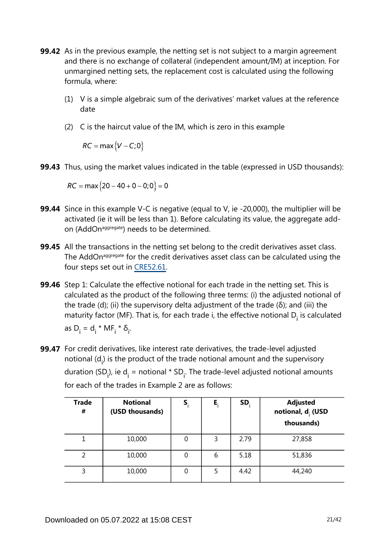- **99.42** As in the previous example, the netting set is not subject to a margin agreement and there is no exchange of collateral (independent amount/IM) at inception. For unmargined netting sets, the replacement cost is calculated using the following formula, where:
	- (1) V is a simple algebraic sum of the derivatives' market values at the reference date
	- (2) C is the haircut value of the IM, which is zero in this example

 $RC = \max\{V - C; 0\}$ 

**99.43** Thus, using the market values indicated in the table (expressed in USD thousands):

 $RC = \max\{20 - 40 + 0 - 0;0\} = 0$ 

- **99.44** Since in this example V-C is negative (equal to V, ie -20,000), the multiplier will be activated (ie it will be less than 1). Before calculating its value, the aggregate addon (AddOn<sup>aggregate</sup>) needs to be determined.
- **99.45** All the transactions in the netting set belong to the credit derivatives asset class. The AddOn<sup>aggregate</sup> for the credit derivatives asset class can be calculated using the four steps set out in [CRE52.61.](https://www.bis.org/basel_framework/chapter/CRE/52.htm?inforce=20230101&published=20200605#paragraph_CRE_52_20230101_52_61)
- **99.46** Step 1: Calculate the effective notional for each trade in the netting set. This is calculated as the product of the following three terms: (i) the adjusted notional of the trade (d); (ii) the supervisory delta adjustment of the trade (δ); and (iii) the maturity factor (MF). That is, for each trade i, the effective notional  $D_i$  is calculated as  $D_i = d_i * MF_i * \delta_i$ .
- **99.47** For credit derivatives, like interest rate derivatives, the trade-level adjusted notional  $(d_i)$  is the product of the trade notional amount and the supervisory duration (SD<sub>i</sub>), ie d<sub>i</sub> = notional \* SD<sub>i</sub>. The trade-level adjusted notional amounts for each of the trades in Example 2 are as follows:

| <b>Trade</b><br># | <b>Notional</b><br>(USD thousands) | S | E, | SD.  | <b>Adjusted</b><br>notional, d <sub>i</sub> (USD<br>thousands) |
|-------------------|------------------------------------|---|----|------|----------------------------------------------------------------|
|                   | 10,000                             | 0 | 3  | 2.79 | 27,858                                                         |
|                   | 10,000                             | 0 | 6  | 5.18 | 51,836                                                         |
| 3                 | 10,000                             | 0 | 5  | 4.42 | 44,240                                                         |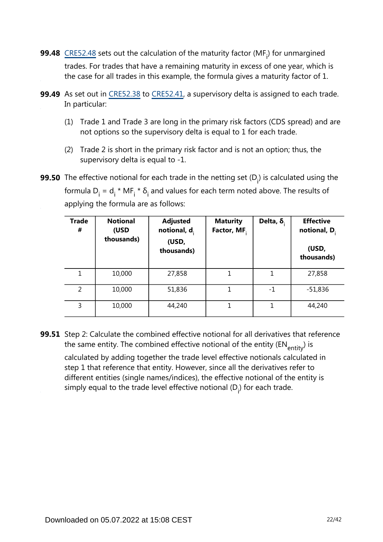- **99.48**  $\frac{\text{CRE52.48}}{\text{Sets}}$  $\frac{\text{CRE52.48}}{\text{Sets}}$  $\frac{\text{CRE52.48}}{\text{Sets}}$  sets out the calculation of the maturity factor (MF<sub>i</sub>) for unmargined trades. For trades that have a remaining maturity in excess of one year, which is the case for all trades in this example, the formula gives a maturity factor of 1.
- **99.49** As set out in [CRE52.38](https://www.bis.org/basel_framework/chapter/CRE/52.htm?inforce=20230101&published=20200605#paragraph_CRE_52_20230101_52_38) to [CRE52.41](https://www.bis.org/basel_framework/chapter/CRE/52.htm?inforce=20230101&published=20200605#paragraph_CRE_52_20230101_52_41), a supervisory delta is assigned to each trade. In particular:
	- (1) Trade 1 and Trade 3 are long in the primary risk factors (CDS spread) and are not options so the supervisory delta is equal to 1 for each trade.
	- (2) Trade 2 is short in the primary risk factor and is not an option; thus, the supervisory delta is equal to -1.
- **99.50** The effective notional for each trade in the netting set (D<sub>i</sub>) is calculated using the formula  $D_i = d_i * MF_i * \delta_i$  and values for each term noted above. The results of applying the formula are as follows:

| <b>Trade</b><br># | <b>Notional</b><br>(USD<br>thousands) | <b>Adjusted</b><br>notional, $d_i$<br>(USD,<br>thousands) | <b>Maturity</b><br>Factor, MF. | Delta, $\delta$ . | <b>Effective</b><br>notional, $D_i$<br>(USD,<br>thousands) |
|-------------------|---------------------------------------|-----------------------------------------------------------|--------------------------------|-------------------|------------------------------------------------------------|
| 1                 | 10,000                                | 27,858                                                    | 1                              | 1                 | 27,858                                                     |
| $\overline{2}$    | 10,000                                | 51,836                                                    |                                | $-1$              | $-51,836$                                                  |
| 3                 | 10,000                                | 44,240                                                    |                                | 1                 | 44,240                                                     |

**99.51** Step 2: Calculate the combined effective notional for all derivatives that reference the same entity. The combined effective notional of the entity ( $EN_{\text{entity}}$ ) is

calculated by adding together the trade level effective notionals calculated in step 1 that reference that entity. However, since all the derivatives refer to different entities (single names/indices), the effective notional of the entity is simply equal to the trade level effective notional  $(D_i)$  for each trade.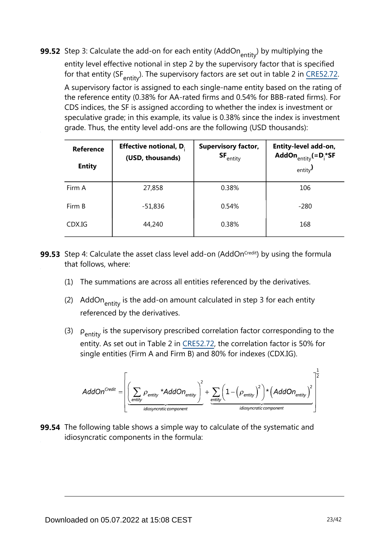**99.52** Step 3: Calculate the add-on for each entity (AddOn<sub>entity</sub>) by multiplying the entity level effective notional in step 2 by the supervisory factor that is specified for that entity (SF $_{\text{entity}}$ )[.](https://www.bis.org/basel_framework/chapter/CRE/52.htm?inforce=20230101&published=20200605#paragraph_CRE_52_20230101_52_72) The supervisory factors are set out in table 2 in CRE52.72. A supervisory factor is assigned to each single-name entity based on the rating of the reference entity (0.38% for AA-rated firms and 0.54% for BBB-rated firms). For CDS indices, the SF is assigned according to whether the index is investment or speculative grade; in this example, its value is 0.38% since the index is investment grade. Thus, the entity level add-ons are the following (USD thousands):

| <b>Reference</b><br><b>Entity</b> | <b>Effective notional, D.</b><br>(USD, thousands) | <b>Supervisory factor,</b><br>$SF_{\text{entity}}$ | Entity-level add-on,<br>AddOn $_{\text{entity}} (=D_i^* S F)$<br>entity $\prime$ |
|-----------------------------------|---------------------------------------------------|----------------------------------------------------|----------------------------------------------------------------------------------|
| Firm A                            | 27,858                                            | 0.38%                                              | 106                                                                              |
| Firm B                            | $-51,836$                                         | 0.54%                                              | $-280$                                                                           |
| CDX.IG                            | 44,240                                            | 0.38%                                              | 168                                                                              |

- **99.53** Step 4: Calculate the asset class level add-on (AddOn<sup>credit</sup>) by using the formula that follows, where:
	- (1) The summations are across all entities referenced by the derivatives.
	- (2) AddOn $_{\text{entity}}$  is the add-on amount calculated in step 3 for each entity referenced by the derivatives.
	- (3)  $\rho_{\text{entity}}$  is the supervisory prescribed correlation factor corresponding to the entity. As set out in Table 2 in [CRE52.72](https://www.bis.org/basel_framework/chapter/CRE/52.htm?inforce=20230101&published=20200605#paragraph_CRE_52_20230101_52_72), the correlation factor is 50% for single entities (Firm A and Firm B) and 80% for indexes (CDX.IG).

$$
AddOn^{Credit} = \left[ \underbrace{\left( \sum_{entity} \rho_{entity} * AddOn_{entity} \right)^2}_{\text{idiosyncratic component}} + \underbrace{\sum_{entity} \left( 1 - \left( \rho_{entity} \right)^2 \right) * \left( AddOn_{entity} \right)^2}{\text{idiosyncratic component}} \right]^{\frac{1}{2}}
$$

**99.54** The following table shows a simple way to calculate of the systematic and idiosyncratic components in the formula: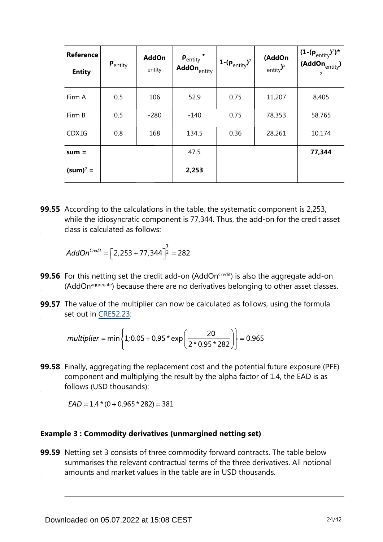| Reference<br><b>Entity</b> | $\bm{\mathsf{P}}_\mathsf{entity}$ | <b>AddOn</b><br>entity | $\mathsf{P}_{\mathsf{entity}}$ *<br>AddOn <sub>entity</sub> | 1- $(\rho_{\text{entity}})^2$ | (AddOn<br>entity $)2$ | $(1-(\rho_{entity})^2)^*$<br>(AddOn $_{\text{entity}}$ )<br>2 |
|----------------------------|-----------------------------------|------------------------|-------------------------------------------------------------|-------------------------------|-----------------------|---------------------------------------------------------------|
| Firm A                     | 0.5                               | 106                    | 52.9                                                        | 0.75                          | 11,207                | 8,405                                                         |
| Firm B                     | 0.5                               | $-280$                 | $-140$                                                      | 0.75                          | 78,353                | 58,765                                                        |
| CDX.IG                     | 0.8                               | 168                    | 134.5                                                       | 0.36                          | 28,261                | 10,174                                                        |
| $sum =$                    |                                   |                        | 47.5                                                        |                               |                       | 77,344                                                        |
| $(sum)^2 =$                |                                   |                        | 2,253                                                       |                               |                       |                                                               |

**99.55** According to the calculations in the table, the systematic component is 2,253, while the idiosyncratic component is 77,344. Thus, the add-on for the credit asset class is calculated as follows:

$$
AddOn^{Credit} = \left[2,253 + 77,344\right]^{\frac{1}{2}} = 282
$$

- **99.56** For this netting set the credit add-on (AddOn<sup>credit</sup>) is also the aggregate add-on (AddOn<sup>aggregate</sup>) because there are no derivatives belonging to other asset classes.
- **99.57** The value of the multiplier can now be calculated as follows, using the formula set out in [CRE52.23](https://www.bis.org/basel_framework/chapter/CRE/52.htm?inforce=20230101&published=20200605#paragraph_CRE_52_20230101_52_23):

$$
multiplier = min\left\{1; 0.05 + 0.95 \cdot exp\left(\frac{-20}{2 \cdot 0.95 \cdot 282}\right)\right\} = 0.965
$$

**99.58** Finally, aggregating the replacement cost and the potential future exposure (PFE) component and multiplying the result by the alpha factor of 1.4, the EAD is as follows (USD thousands):

 $EAD = 1.4*(0 + 0.965*282) = 381$ 

#### **Example 3 : Commodity derivatives (unmargined netting set)**

**99.59** Netting set 3 consists of three commodity forward contracts. The table below summarises the relevant contractual terms of the three derivatives. All notional amounts and market values in the table are in USD thousands.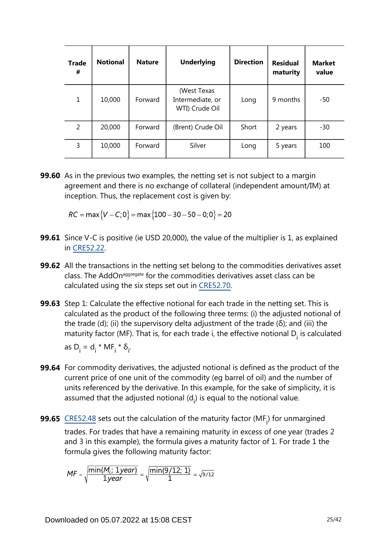| <b>Trade</b><br># | <b>Notional</b> | <b>Nature</b> | <b>Underlying</b>                                 | <b>Direction</b> | <b>Residual</b><br>maturity | <b>Market</b><br>value |
|-------------------|-----------------|---------------|---------------------------------------------------|------------------|-----------------------------|------------------------|
| $\mathbf{1}$      | 10,000          | Forward       | (West Texas<br>Intermediate, or<br>WTI) Crude Oil | Long             | 9 months                    | -50                    |
| 2                 | 20,000          | Forward       | (Brent) Crude Oil                                 | Short            | 2 years                     | -30                    |
| 3                 | 10,000          | Forward       | Silver                                            | Long             | 5 years                     | 100                    |

**99.60** As in the previous two examples, the netting set is not subject to a margin agreement and there is no exchange of collateral (independent amount/IM) at inception. Thus, the replacement cost is given by:

 $RC = \max \{V - C; 0\} = \max \{100 - 30 - 50 - 0; 0\} = 20$ 

- **99.61** Since V-C is positive (ie USD 20,000), the value of the multiplier is 1, as explained in [CRE52.22](https://www.bis.org/basel_framework/chapter/CRE/52.htm?inforce=20230101&published=20200605#paragraph_CRE_52_20230101_52_22).
- **99.62** All the transactions in the netting set belong to the commodities derivatives asset class. The AddOn<sup>aggregate</sup> for the commodities derivatives asset class can be calculated using the six steps set out in [CRE52.70](https://www.bis.org/basel_framework/chapter/CRE/52.htm?inforce=20230101&published=20200605#paragraph_CRE_52_20230101_52_70).
- **99.63** Step 1: Calculate the effective notional for each trade in the netting set. This is calculated as the product of the following three terms: (i) the adjusted notional of the trade (d); (ii) the supervisory delta adjustment of the trade (δ); and (iii) the maturity factor (MF). That is, for each trade i, the effective notional  $D_i$  is calculated as  $D_i = d_i * MF_i * \delta_i$ .
- **99.64** For commodity derivatives, the adjusted notional is defined as the product of the current price of one unit of the commodity (eg barrel of oil) and the number of units referenced by the derivative. In this example, for the sake of simplicity, it is assumed that the adjusted notional  $(d_i)$  is equal to the notional value.
- **99.65**  $\frac{\text{CRE52.48}}{\text{Sets}}$  $\frac{\text{CRE52.48}}{\text{Sets}}$  $\frac{\text{CRE52.48}}{\text{Sets}}$  sets out the calculation of the maturity factor (MF<sub>i</sub>) for unmargined trades. For trades that have a remaining maturity in excess of one year (trades 2 and 3 in this example), the formula gives a maturity factor of 1. For trade 1 the formula gives the following maturity factor:

$$
MF = \sqrt{\frac{\min\{M_i; \ 1year\}}{1year}} = \sqrt{\frac{\min\{9/12; \ 1\}}{1}} = \sqrt{9/12}
$$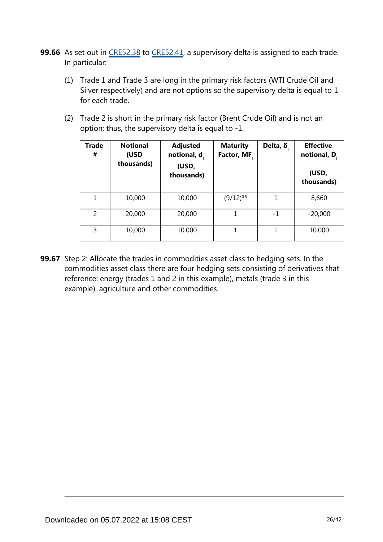- **99.66** As set out in [CRE52.38](https://www.bis.org/basel_framework/chapter/CRE/52.htm?inforce=20230101&published=20200605#paragraph_CRE_52_20230101_52_38) to [CRE52.41](https://www.bis.org/basel_framework/chapter/CRE/52.htm?inforce=20230101&published=20200605#paragraph_CRE_52_20230101_52_41), a supervisory delta is assigned to each trade. In particular:
	- (1) Trade 1 and Trade 3 are long in the primary risk factors (WTI Crude Oil and Silver respectively) and are not options so the supervisory delta is equal to 1 for each trade.
	- (2) Trade 2 is short in the primary risk factor (Brent Crude Oil) and is not an option; thus, the supervisory delta is equal to -1.

| <b>Trade</b><br># | <b>Notional</b><br>(USD<br>thousands) | <b>Adjusted</b><br>notional, $d_i$<br>(USD,<br>thousands) | <b>Maturity</b><br>Factor, MF. | Delta, $\delta$ . | <b>Effective</b><br>notional, D.<br>(USD,<br>thousands) |
|-------------------|---------------------------------------|-----------------------------------------------------------|--------------------------------|-------------------|---------------------------------------------------------|
| 1                 | 10,000                                | 10,000                                                    | $(9/12)^{0.5}$                 |                   | 8,660                                                   |
| 2                 | 20,000                                | 20,000                                                    | 1                              | $-1$              | $-20,000$                                               |
| 3                 | 10,000                                | 10,000                                                    | 1                              | 1                 | 10,000                                                  |

**99.67** Step 2: Allocate the trades in commodities asset class to hedging sets. In the commodities asset class there are four hedging sets consisting of derivatives that reference: energy (trades 1 and 2 in this example), metals (trade 3 in this example), agriculture and other commodities.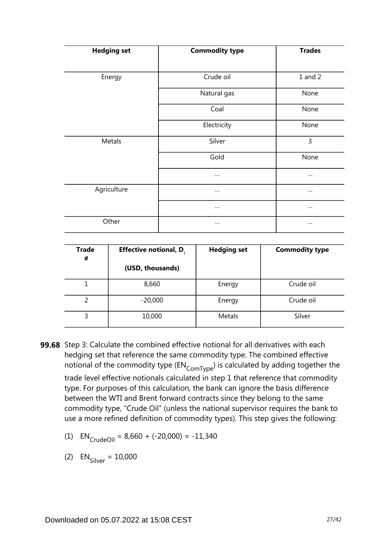| <b>Hedging set</b> | <b>Commodity type</b> | <b>Trades</b> |
|--------------------|-----------------------|---------------|
| Energy             | Crude oil             | $1$ and $2$   |
|                    | Natural gas           | None          |
|                    | Coal                  | None          |
|                    | Electricity           | None          |
| Metals             | Silver                | 3             |
|                    | Gold                  | None          |
|                    |                       | $\cdots$      |
| Agriculture        | $\cdots$              | $\cdots$      |
|                    | $\cdots$              | $\cdots$      |
| Other              |                       | $\cdots$      |

| <b>Trade</b><br># | <b>Effective notional, D.</b> | <b>Hedging set</b> | <b>Commodity type</b> |
|-------------------|-------------------------------|--------------------|-----------------------|
|                   | (USD, thousands)              |                    |                       |
|                   | 8,660                         | Energy             | Crude oil             |
|                   | $-20,000$                     | Energy             | Crude oil             |
| 3                 | 10,000                        | Metals             | Silver                |

- **99.68** Step 3: Calculate the combined effective notional for all derivatives with each hedging set that reference the same commodity type. The combined effective notional of the commodity type  $(\text{EN}_{\text{ComType}})$  is calculated by adding together the trade level effective notionals calculated in step 1 that reference that commodity type. For purposes of this calculation, the bank can ignore the basis difference between the WTI and Brent forward contracts since they belong to the same commodity type, "Crude Oil" (unless the national supervisor requires the bank to use a more refined definition of commodity types). This step gives the following:
	- (1)  $EN_{CrudeOil} = 8,660 + (-20,000) = -11,340$

(2)  $EN_{\text{Silver}} = 10,000$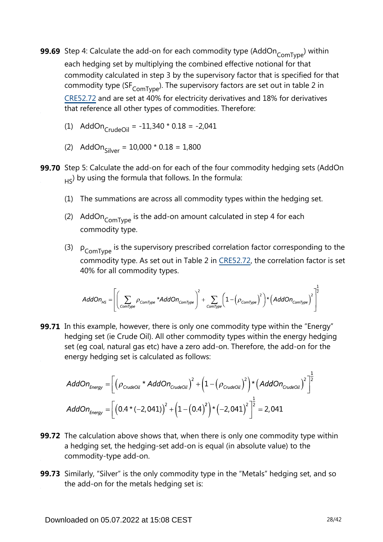- **99.69** Step 4: Calculate the add-on for each commodity type (AddOn<sub>ComType</sub>) within each hedging set by multiplying the combined effective notional for that commodity calculated in step 3 by the supervisory factor that is specified for that commodity type (SF $_{\text{ComType}}$ ). The supervisory factors are set out in table 2 in [CRE52.72](https://www.bis.org/basel_framework/chapter/CRE/52.htm?inforce=20230101&published=20200605#paragraph_CRE_52_20230101_52_72) and are set at 40% for electricity derivatives and 18% for derivatives that reference all other types of commodities. Therefore:
	- (1) AddOn $_{\text{CrudeOil}}$  = -11,340 \* 0.18 = -2,041
	- (2) AddOn<sub>Silver</sub> =  $10,000 * 0.18 = 1,800$
- **99.70** Step 5: Calculate the add-on for each of the four commodity hedging sets (AddOn  $_{\rm H5}$ ) by using the formula that follows. In the formula:
	- (1) The summations are across all commodity types within the hedging set.
	- (2) AddOn $_{\text{ComType}}$  is the add-on amount calculated in step 4 for each commodity type.
	- (3)  $\rho_{\text{ComType}}$  is the supervisory prescribed correlation factor corresponding to the commodity type. As set out in Table 2 in [CRE52.72,](https://www.bis.org/basel_framework/chapter/CRE/52.htm?inforce=20230101&published=20200605#paragraph_CRE_52_20230101_52_72) the correlation factor is set 40% for all commodity types.

$$
AddOn_{HS} = \left[\left(\sum_{ComType} \rho_{ComType} * AddOn_{ComType}\right)^2 + \sum_{ComType} \left(1 - \left(\rho_{ComType}\right)^2\right) * \left(AddOn_{ComType}\right)^2\right]^{\frac{1}{2}}
$$

**99.71** In this example, however, there is only one commodity type within the "Energy" hedging set (ie Crude Oil). All other commodity types within the energy hedging set (eg coal, natural gas etc) have a zero add-on. Therefore, the add-on for the energy hedging set is calculated as follows:

$$
AddOn_{Energy} = \left[ \left( \rho_{\text{CrudeOil}} \cdot AddOn_{\text{Crude Oil}} \right)^2 + \left( 1 - \left( \rho_{\text{Crude Oil}} \right)^2 \right) \cdot \left( AddOn_{\text{Crude Oil}} \right)^2 \right]^{\frac{1}{2}}
$$
  

$$
AddOn_{\text{Energy}} = \left[ \left( 0.4 \cdot (-2,041) \right)^2 + \left( 1 - \left( 0.4 \right)^2 \right) \cdot \left( -2,041 \right)^2 \right]^{\frac{1}{2}} = 2,041
$$

- **99.72** The calculation above shows that, when there is only one commodity type within a hedging set, the hedging-set add-on is equal (in absolute value) to the commodity-type add-on.
- **99.73** Similarly, "Silver" is the only commodity type in the "Metals" hedging set, and so the add-on for the metals hedging set is: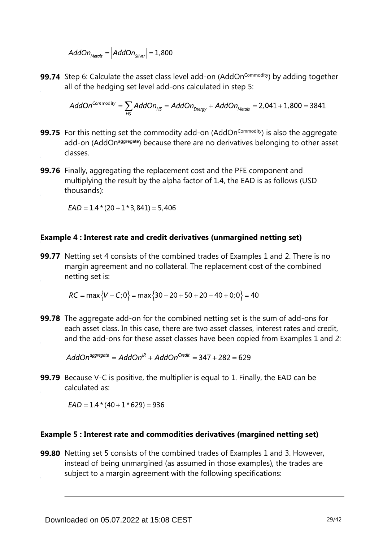$$
AddOn_{\text{Methods}} = |AddOn_{\text{Silver}}| = 1,800
$$

**99.74** Step 6: Calculate the asset class level add-on (AddOn<sup>commodity</sup>) by adding together all of the hedging set level add-ons calculated in step 5:

$$
AddOn^{Commodity} = \sum_{HS} AddOn_{HS} = AddOn_{Energy} + AddOn_{Methods} = 2,041 + 1,800 = 3841
$$

- **99.75** For this netting set the commodity add-on (AddOn<sup>Commodity</sup>) is also the aggregate add-on (AddOn<sup>aggregate</sup>) because there are no derivatives belonging to other asset classes.
- **99.76** Finally, aggregating the replacement cost and the PFE component and multiplying the result by the alpha factor of 1.4, the EAD is as follows (USD thousands):

 $EAD = 1.4*(20 + 1*3,841) = 5,406$ 

#### **Example 4 : Interest rate and credit derivatives (unmargined netting set)**

**99.77** Netting set 4 consists of the combined trades of Examples 1 and 2. There is no margin agreement and no collateral. The replacement cost of the combined netting set is:

 $RC = \max \{V - C; 0\} = \max \{30 - 20 + 50 + 20 - 40 + 0; 0\} = 40$ 

**99.78** The aggregate add-on for the combined netting set is the sum of add-ons for each asset class. In this case, there are two asset classes, interest rates and credit, and the add-ons for these asset classes have been copied from Examples 1 and 2:

 $AddOn<sup>aggregate</sup> = AddOn<sup>IR</sup> + AddOn<sup>Credit</sup> = 347 + 282 = 629$ 

**99.79** Because V-C is positive, the multiplier is equal to 1. Finally, the EAD can be calculated as:

 $EAD = 1.4 * (40 + 1 * 629) = 936$ 

#### **Example 5 : Interest rate and commodities derivatives (margined netting set)**

**99.80** Netting set 5 consists of the combined trades of Examples 1 and 3. However, instead of being unmargined (as assumed in those examples), the trades are subject to a margin agreement with the following specifications: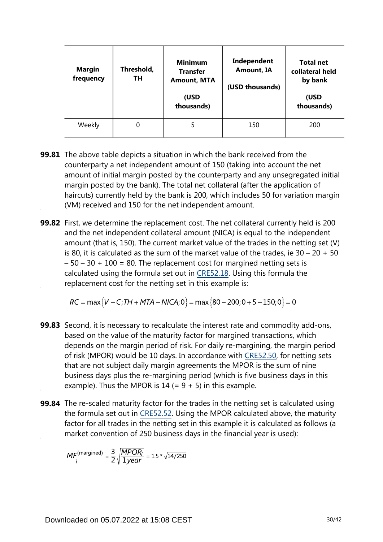| Margin<br>frequency | Threshold,<br>TН | <b>Minimum</b><br><b>Transfer</b><br><b>Amount, MTA</b><br>(USD<br>thousands) | Independent<br><b>Amount, IA</b><br>(USD thousands) | <b>Total net</b><br>collateral held<br>by bank<br>(USD<br>thousands) |
|---------------------|------------------|-------------------------------------------------------------------------------|-----------------------------------------------------|----------------------------------------------------------------------|
| Weekly              | 0                |                                                                               | 150                                                 | 200                                                                  |

- **99.81** The above table depicts a situation in which the bank received from the counterparty a net independent amount of 150 (taking into account the net amount of initial margin posted by the counterparty and any unsegregated initial margin posted by the bank). The total net collateral (after the application of haircuts) currently held by the bank is 200, which includes 50 for variation margin (VM) received and 150 for the net independent amount.
- **99.82** First, we determine the replacement cost. The net collateral currently held is 200 and the net independent collateral amount (NICA) is equal to the independent amount (that is, 150). The current market value of the trades in the netting set (V) is 80, it is calculated as the sum of the market value of the trades, ie  $30 - 20 + 50$  $-50 - 30 + 100 = 80$ . The replacement cost for margined netting sets is calculated using the formula set out in [CRE52.18](https://www.bis.org/basel_framework/chapter/CRE/52.htm?inforce=20230101&published=20200605#paragraph_CRE_52_20230101_52_18). Using this formula the replacement cost for the netting set in this example is:

 $RC = \max \{V - C$ ; TH + MTA – NICA; 0 = max {80 – 200; 0 + 5 – 150; 0 } = 0

- **99.83** Second, it is necessary to recalculate the interest rate and commodity add-ons, based on the value of the maturity factor for margined transactions, which depends on the margin period of risk. For daily re-margining, the margin period of risk (MPOR) would be 10 days. In accordance with [CRE52.50,](https://www.bis.org/basel_framework/chapter/CRE/52.htm?inforce=20230101&published=20200605#paragraph_CRE_52_20230101_52_50) for netting sets that are not subject daily margin agreements the MPOR is the sum of nine business days plus the re-margining period (which is five business days in this example). Thus the MPOR is  $14 (= 9 + 5)$  in this example.
- **99.84** The re-scaled maturity factor for the trades in the netting set is calculated using the formula set out in [CRE52.52.](https://www.bis.org/basel_framework/chapter/CRE/52.htm?inforce=20230101&published=20200605#paragraph_CRE_52_20230101_52_52) Using the MPOR calculated above, the maturity factor for all trades in the netting set in this example it is calculated as follows (a market convention of 250 business days in the financial year is used):

$$
MF_i^{\text{(margined)}} = \frac{3}{2} \sqrt{\frac{MPOR_i}{1year}} = 1.5 * \sqrt{14/250}
$$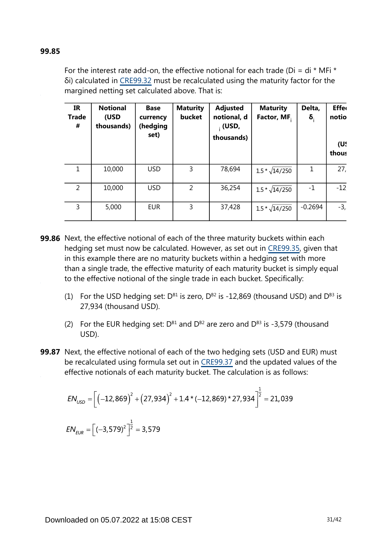#### **99.85**

For the interest rate add-on, the effective notional for each trade (Di = di  $*$  MFi  $*$ δi) calculated in [CRE99.32](https://www.bis.org/basel_framework/chapter/CRE/99.htm?inforce=20230101&published=20200327#paragraph_CRE_99_20230101_99_32) must be recalculated using the maturity factor for the margined netting set calculated above. That is:

| <b>IR</b><br><b>Trade</b><br># | <b>Notional</b><br>(USD<br>thousands) | <b>Base</b><br>currency<br>(hedging<br>set) | <b>Maturity</b><br>bucket | <b>Adjusted</b><br>notional, d<br>$\cdot$ (USD,<br>thousands) | <b>Maturity</b><br>Factor, MF. | Delta,<br>$\delta_{\rm i}$ | <b>Effer</b><br>notio<br>(U!<br>thous |
|--------------------------------|---------------------------------------|---------------------------------------------|---------------------------|---------------------------------------------------------------|--------------------------------|----------------------------|---------------------------------------|
| 1                              | 10,000                                | <b>USD</b>                                  | 3                         | 78,694                                                        | $1.5 * \sqrt{14/250}$          | 1                          | 27,                                   |
| $\overline{2}$                 | 10,000                                | <b>USD</b>                                  | $\overline{2}$            | 36,254                                                        | $1.5 * \sqrt{14/250}$          | $-1$                       | $-12$                                 |
| 3                              | 5,000                                 | <b>EUR</b>                                  | 3                         | 37,428                                                        | $1.5 * \sqrt{14/250}$          | $-0.2694$                  | $-3,$                                 |

- **99.86** Next, the effective notional of each of the three maturity buckets within each hedging set must now be calculated. However, as set out in [CRE99.35,](https://www.bis.org/basel_framework/chapter/CRE/99.htm?inforce=20230101&published=20200327#paragraph_CRE_99_20230101_99_35) given that in this example there are no maturity buckets within a hedging set with more than a single trade, the effective maturity of each maturity bucket is simply equal to the effective notional of the single trade in each bucket. Specifically:
	- (1) For the USD hedging set:  $D^{B1}$  is zero,  $D^{B2}$  is -12,869 (thousand USD) and  $D^{B3}$  is 27,934 (thousand USD).
	- (2) For the EUR hedging set:  $D^{B1}$  and  $D^{B2}$  are zero and  $D^{B3}$  is -3,579 (thousand USD).
- **99.87** Next, the effective notional of each of the two hedging sets (USD and EUR) must be recalculated using formula set out in [CRE99.37](https://www.bis.org/basel_framework/chapter/CRE/99.htm?inforce=20230101&published=20200327#paragraph_CRE_99_20230101_99_37) and the updated values of the effective notionals of each maturity bucket. The calculation is as follows:

$$
EN_{USD} = \left[ \left( -12,869 \right)^2 + \left( 27,934 \right)^2 + 1.4 \times \left( -12,869 \right) \times 27,934 \right]^{\frac{1}{2}} = 21,039
$$
  
\n
$$
EN_{EUR} = \left[ \left( -3,579 \right)^2 \right]^{\frac{1}{2}} = 3,579
$$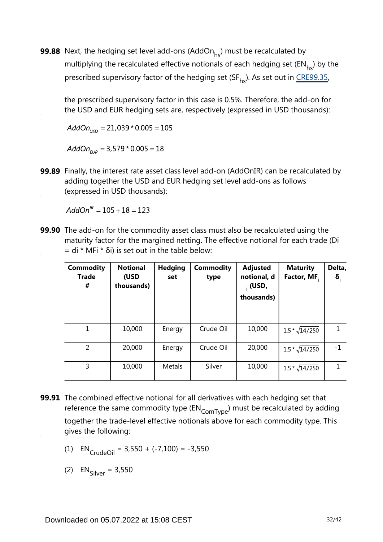**99.88** Next, the hedging set level add-ons (AddOn $_{\sf hs}$ ) must be recalculated by multiplying the recalculated effective notionals of each hedging set ( $EN_{bc}$ ) by the prescribed supervisory factor of the hedging set (SF<sub>hs</sub>). As set out in CRE99.35[,](https://www.bis.org/basel_framework/chapter/CRE/99.htm?inforce=20230101&published=20200327#paragraph_CRE_99_20230101_99_35)

the prescribed supervisory factor in this case is 0.5%. Therefore, the add-on for the USD and EUR hedging sets are, respectively (expressed in USD thousands):

 $AddOn_{\text{LSD}} = 21,039 * 0.005 = 105$ 

 $AddOn_{EUB} = 3,579 * 0.005 = 18$ 

**99.89** Finally, the interest rate asset class level add-on (AddOnIR) can be recalculated by adding together the USD and EUR hedging set level add-ons as follows (expressed in USD thousands):

 $AddOn^{IR} = 105 + 18 = 123$ 

**99.90** The add-on for the commodity asset class must also be recalculated using the maturity factor for the margined netting. The effective notional for each trade (Di  $=$  di \* MFi \* δi) is set out in the table below:

| <b>Commodity</b><br><b>Trade</b><br># | <b>Notional</b><br>(USD<br>thousands) | <b>Hedging</b><br>set | <b>Commodity</b><br>type | <b>Adjusted</b><br>notional, d<br>$_{1}$ (USD,<br>thousands) | <b>Maturity</b><br>Factor, MF. | Delta,<br>$\delta_i$ |
|---------------------------------------|---------------------------------------|-----------------------|--------------------------|--------------------------------------------------------------|--------------------------------|----------------------|
| 1                                     | 10,000                                | Energy                | Crude Oil                | 10,000                                                       | $1.5 * \sqrt{14/250}$          |                      |
| 2                                     | 20,000                                | Energy                | Crude Oil                | 20,000                                                       | $1.5 * \sqrt{14/250}$          | $-1$                 |
| 3                                     | 10,000                                | Metals                | Silver                   | 10,000                                                       | $1.5 * \sqrt{14/250}$          |                      |

- **99.91** The combined effective notional for all derivatives with each hedging set that reference the same commodity type  $(\text{EN}_{\text{ComType}})$  must be recalculated by adding together the trade-level effective notionals above for each commodity type. This gives the following:
	- (1)  $EN_{CrudeOil} = 3,550 + (-7,100) = -3,550$

(2)  $EN_{\text{Silver}} = 3,550$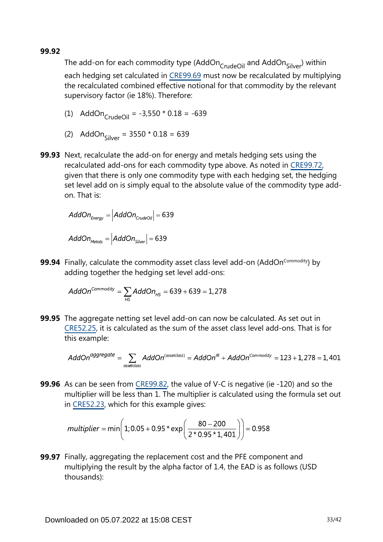**99.92**

The add-on for each commodity type (AddOn CrudeOil and AddOn Silver) within each hedging set calculated in [CRE99.69](https://www.bis.org/basel_framework/chapter/CRE/99.htm?inforce=20230101&published=20200327#paragraph_CRE_99_20230101_99_69) must now be recalculated by multiplying the recalculated combined effective notional for that commodity by the relevant supervisory factor (ie 18%). Therefore:

(1) 
$$
\text{AddOn}_{\text{CrudeOil}} = -3,550 \times 0.18 = -639
$$

- (2) AddOn<sub>Silver</sub> =  $3550 * 0.18 = 639$
- **99.93** Next, recalculate the add-on for energy and metals hedging sets using the recalculated add-ons for each commodity type above. As noted in [CRE99.72,](https://www.bis.org/basel_framework/chapter/CRE/99.htm?inforce=20230101&published=20200327#paragraph_CRE_99_20230101_99_72) given that there is only one commodity type with each hedging set, the hedging set level add on is simply equal to the absolute value of the commodity type addon. That is:

$$
AddOn_{Energy} = |AddOn_{\text{Crude Oil}}| = 639
$$

 $AddOn_{\text{Methods}} = |AddOn_{\text{Silver}}| = 639$ 

**99.94** Finally, calculate the commodity asset class level add-on (AddOn<sup>Commodity</sup>) by adding together the hedging set level add-ons:

$$
AddOn^{Commodity} = \sum_{HS} AddOn_{HS} = 639 + 639 = 1,278
$$

**99.95** The aggregate netting set level add-on can now be calculated. As set out in [CRE52.25](https://www.bis.org/basel_framework/chapter/CRE/52.htm?inforce=20230101&published=20200605#paragraph_CRE_52_20230101_52_25), it is calculated as the sum of the asset class level add-ons. That is for this example:

$$
AddOnaggregate = \sum_{\text{assetclass}} AddOn(assetclass) = AddOnIR + AddOnCommodity = 123 + 1,278 = 1,401
$$

**99.96** As can be seen from [CRE99.82,](https://www.bis.org/basel_framework/chapter/CRE/99.htm?inforce=20230101&published=20200327#paragraph_CRE_99_20230101_99_82) the value of V-C is negative (ie -120) and so the multiplier will be less than 1. The multiplier is calculated using the formula set out in [CRE52.23](https://www.bis.org/basel_framework/chapter/CRE/52.htm?inforce=20230101&published=20200605#paragraph_CRE_52_20230101_52_23), which for this example gives:

$$
multiplier = min\left(1; 0.05 + 0.95 \cdot exp\left(\frac{80 - 200}{2 \cdot 0.95 \cdot 1,401}\right)\right) = 0.958
$$

**99.97** Finally, aggregating the replacement cost and the PFE component and multiplying the result by the alpha factor of 1.4, the EAD is as follows (USD thousands):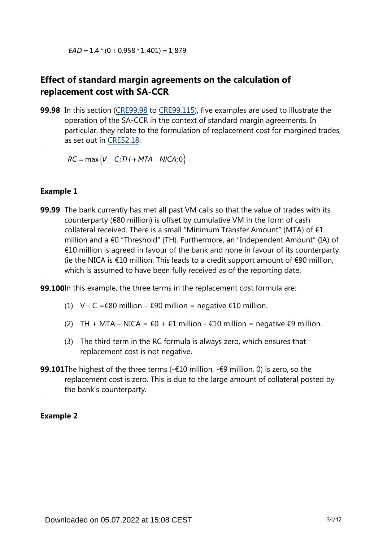$EAD = 1.4*(0 + 0.958 * 1,401) = 1,879$ 

## **Effect of standard margin agreements on the calculation of replacement cost with SA-CCR**

**99.98** In this section [\(CRE99.98](https://www.bis.org/basel_framework/chapter/CRE/99.htm?inforce=20230101&published=20200327#paragraph_CRE_99_20230101_99_98) to [CRE99.115\)](https://www.bis.org/basel_framework/chapter/CRE/99.htm?inforce=20230101&published=20200327#paragraph_CRE_99_20230101_99_115), five examples are used to illustrate the operation of the SA-CCR in the context of standard margin agreements. In particular, they relate to the formulation of replacement cost for margined trades, as set out in [CRE52.18:](https://www.bis.org/basel_framework/chapter/CRE/52.htm?inforce=20230101&published=20200605#paragraph_CRE_52_20230101_52_18)

 $RC = \max \{V - C; TH + MTA - NICA; 0\}$ 

#### **Example 1**

**99.99** The bank currently has met all past VM calls so that the value of trades with its counterparty (€80 million) is offset by cumulative VM in the form of cash collateral received. There is a small "Minimum Transfer Amount" (MTA) of €1 million and a €0 "Threshold" (TH). Furthermore, an "Independent Amount" (IA) of €10 million is agreed in favour of the bank and none in favour of its counterparty (ie the NICA is €10 million. This leads to a credit support amount of  $€90$  million, which is assumed to have been fully received as of the reporting date.

**99.100**In this example, the three terms in the replacement cost formula are:

- (1) V C =  $\epsilon$ 80 million  $\epsilon$ 90 million = negative  $\epsilon$ 10 million.
- (2) TH + MTA NICA =  $\epsilon$ 0 +  $\epsilon$ 1 million  $\epsilon$ 10 million = negative  $\epsilon$ 9 million.
- (3) The third term in the RC formula is always zero, which ensures that replacement cost is not negative.
- **99.101**The highest of the three terms (-€10 million, -€9 million, 0) is zero, so the replacement cost is zero. This is due to the large amount of collateral posted by the bank's counterparty.

#### **Example 2**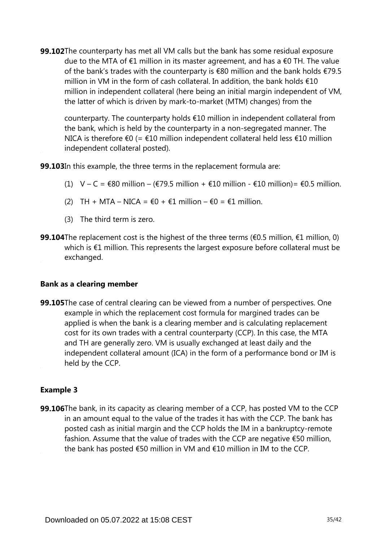**99.102**The counterparty has met all VM calls but the bank has some residual exposure due to the MTA of €1 million in its master agreement, and has a €0 TH. The value of the bank's trades with the counterparty is €80 million and the bank holds €79.5 million in VM in the form of cash collateral. In addition, the bank holds €10 million in independent collateral (here being an initial margin independent of VM, the latter of which is driven by mark-to-market (MTM) changes) from the

counterparty. The counterparty holds €10 million in independent collateral from the bank, which is held by the counterparty in a non-segregated manner. The NICA is therefore €0 (= €10 million independent collateral held less €10 million independent collateral posted).

**99.103**In this example, the three terms in the replacement formula are:

- (1)  $V C = \epsilon 80$  million ( $\epsilon$ 79.5 million +  $\epsilon$ 10 million  $\epsilon$ 10 million) =  $\epsilon$ 0.5 million.
- (2) TH + MTA NICA =  $\epsilon$ 0 +  $\epsilon$ 1 million  $\epsilon$ 0 =  $\epsilon$ 1 million.
- (3) The third term is zero.
- **99.104**The replacement cost is the highest of the three terms (€0.5 million, €1 million, 0) which is €1 million. This represents the largest exposure before collateral must be exchanged.

#### **Bank as a clearing member**

**99.105**The case of central clearing can be viewed from a number of perspectives. One example in which the replacement cost formula for margined trades can be applied is when the bank is a clearing member and is calculating replacement cost for its own trades with a central counterparty (CCP). In this case, the MTA and TH are generally zero. VM is usually exchanged at least daily and the independent collateral amount (ICA) in the form of a performance bond or IM is held by the CCP.

#### **Example 3**

**99.106**The bank, in its capacity as clearing member of a CCP, has posted VM to the CCP in an amount equal to the value of the trades it has with the CCP. The bank has posted cash as initial margin and the CCP holds the IM in a bankruptcy-remote fashion. Assume that the value of trades with the CCP are negative €50 million, the bank has posted €50 million in VM and €10 million in IM to the CCP.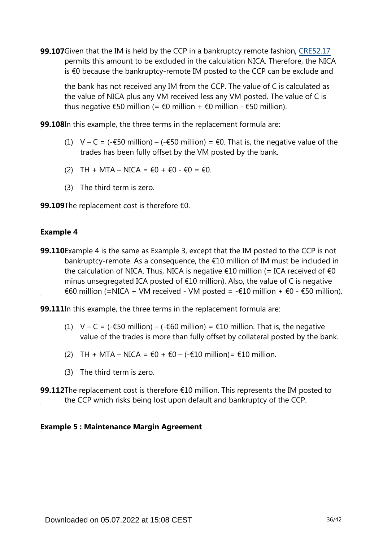**99.107**Given that the IM is held by the CCP in a bankruptcy remote fashion, [CRE52.17](https://www.bis.org/basel_framework/chapter/CRE/52.htm?inforce=20230101&published=20200605#paragraph_CRE_52_20230101_52_17) permits this amount to be excluded in the calculation NICA. Therefore, the NICA is €0 because the bankruptcy-remote IM posted to the CCP can be exclude and

the bank has not received any IM from the CCP. The value of C is calculated as the value of NICA plus any VM received less any VM posted. The value of C is thus negative  $\epsilon$ 50 million (=  $\epsilon$ 0 million +  $\epsilon$ 0 million -  $\epsilon$ 50 million).

**99.108**In this example, the three terms in the replacement formula are:

- (1) V C = (- $\epsilon$ 50 million) (- $\epsilon$ 50 million) =  $\epsilon$ 0. That is, the negative value of the trades has been fully offset by the VM posted by the bank.
- (2) TH + MTA NICA =  $\epsilon$ 0 +  $\epsilon$ 0  $\epsilon$ 0 =  $\epsilon$ 0.
- (3) The third term is zero.
- 99.109The replacement cost is therefore €0.

#### **Example 4**

**99.110** Example 4 is the same as Example 3, except that the IM posted to the CCP is not bankruptcy-remote. As a consequence, the €10 million of IM must be included in the calculation of NICA. Thus, NICA is negative  $\epsilon$ 10 million (= ICA received of  $\epsilon$ 0 minus unsegregated ICA posted of €10 million). Also, the value of C is negative €60 million (=NICA + VM received - VM posted = -€10 million + €0 - €50 million).

**99.111**In this example, the three terms in the replacement formula are:

- (1)  $V C = (-\epsilon 50 \text{ million}) (-\epsilon 60 \text{ million}) = \epsilon 10 \text{ million}$ . That is, the negative value of the trades is more than fully offset by collateral posted by the bank.
- (2) TH + MTA NICA =  $€0 + €0 (-€10 \text{ million}) = €10 \text{ million}.$
- (3) The third term is zero.
- **99.112**The replacement cost is therefore €10 million. This represents the IM posted to the CCP which risks being lost upon default and bankruptcy of the CCP.

#### **Example 5 : Maintenance Margin Agreement**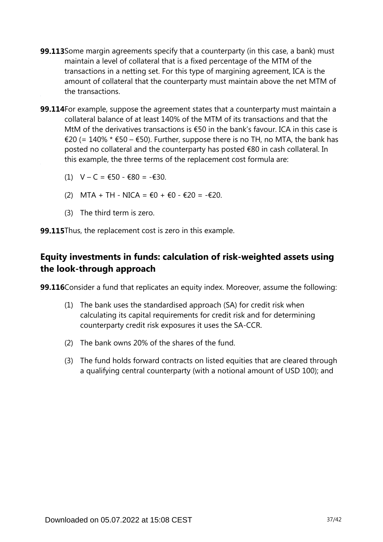- **99.113** Some margin agreements specify that a counterparty (in this case, a bank) must maintain a level of collateral that is a fixed percentage of the MTM of the transactions in a netting set. For this type of margining agreement, ICA is the amount of collateral that the counterparty must maintain above the net MTM of the transactions.
- **99.114**For example, suppose the agreement states that a counterparty must maintain a collateral balance of at least 140% of the MTM of its transactions and that the MtM of the derivatives transactions is €50 in the bank's favour. ICA in this case is €20 (= 140% \* €50 – €50). Further, suppose there is no TH, no MTA, the bank has posted no collateral and the counterparty has posted €80 in cash collateral. In this example, the three terms of the replacement cost formula are:
	- (1)  $V C = €50 €80 = -€30$ .
	- (2) MTA + TH NICA = €0 + €0 €20 = -€20.
	- (3) The third term is zero.

**99.115**Thus, the replacement cost is zero in this example.

## **Equity investments in funds: calculation of risk-weighted assets using the look-through approach**

**99.116**Consider a fund that replicates an equity index. Moreover, assume the following:

- (1) The bank uses the standardised approach (SA) for credit risk when calculating its capital requirements for credit risk and for determining counterparty credit risk exposures it uses the SA-CCR.
- (2) The bank owns 20% of the shares of the fund.
- (3) The fund holds forward contracts on listed equities that are cleared through a qualifying central counterparty (with a notional amount of USD 100); and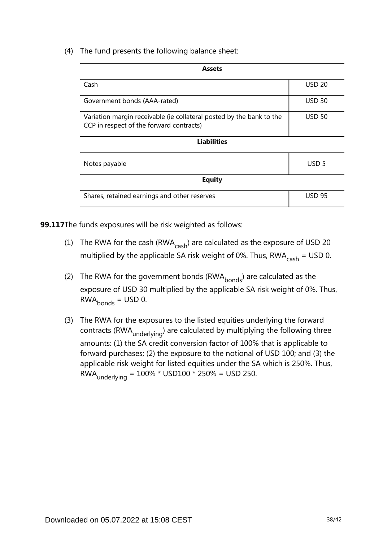(4) The fund presents the following balance sheet:

| <b>Assets</b>                                                                                                    |                  |  |  |  |  |
|------------------------------------------------------------------------------------------------------------------|------------------|--|--|--|--|
| Cash                                                                                                             | <b>USD 20</b>    |  |  |  |  |
| Government bonds (AAA-rated)                                                                                     | <b>USD 30</b>    |  |  |  |  |
| Variation margin receivable (ie collateral posted by the bank to the<br>CCP in respect of the forward contracts) | <b>USD 50</b>    |  |  |  |  |
| <b>Liabilities</b>                                                                                               |                  |  |  |  |  |
| Notes payable                                                                                                    | USD <sub>5</sub> |  |  |  |  |
| <b>Equity</b>                                                                                                    |                  |  |  |  |  |
| Shares, retained earnings and other reserves                                                                     | <b>USD 95</b>    |  |  |  |  |

**99.117**The funds exposures will be risk weighted as follows:

- (1) The RWA for the cash (RWA $_{\rm cash}$ ) are calculated as the exposure of USD 20 multiplied by the applicable SA risk weight of 0%. Thus,  $RWA_{cash} = USD$  0.
- (2) The RWA for the government bonds (RWA $_{\text{bonds}}$ ) are calculated as the exposure of USD 30 multiplied by the applicable SA risk weight of 0%. Thus,  $RWA<sub>bonds</sub> = USD 0.$
- (3) The RWA for the exposures to the listed equities underlying the forward contracts (RWA <sub>underlying</sub>) are calculated by multiplying the following three amounts: (1) the SA credit conversion factor of 100% that is applicable to forward purchases; (2) the exposure to the notional of USD 100; and (3) the applicable risk weight for listed equities under the SA which is 250%. Thus, RWA underlying =  $100\%$  \* USD100 \* 250% = USD 250.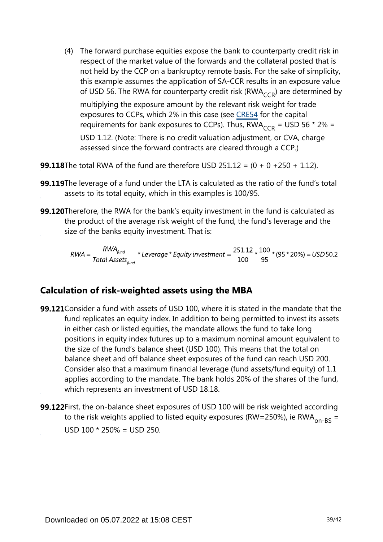(4) The forward purchase equities expose the bank to counterparty credit risk in respect of the market value of the forwards and the collateral posted that is not held by the CCP on a bankruptcy remote basis. For the sake of simplicity, this example assumes the application of SA-CCR results in an exposure value of USD 56. The RWA for counterparty credit risk (RWA $_{CCR}$ ) are determined by

multiplying the exposure amount by the relevant risk weight for trade exposures to CCPs, which 2% in this case (see [CRE54](https://www.bis.org/basel_framework/chapter/CRE/54.htm?inforce=20230101&published=20200327) for the capital requirements for bank exposures to CCPs). Thus,  $RWA_{CCR} = USD 56 * 2\% =$ USD 1.12. (Note: There is no credit valuation adjustment, or CVA, charge assessed since the forward contracts are cleared through a CCP.)

**99.118**The total RWA of the fund are therefore USD 251.12 = (0 + 0 +250 + 1.12).

- **99.119**The leverage of a fund under the LTA is calculated as the ratio of the fund's total assets to its total equity, which in this examples is 100/95.
- **99.120**Therefore, the RWA for the bank's equity investment in the fund is calculated as the product of the average risk weight of the fund, the fund's leverage and the size of the banks equity investment. That is:

$$
RWA = \frac{RWA_{fund}}{Total\,\,Assets_{fund}} \times \text{Leverage} \times \text{Equity investment} = \frac{251.12}{100} \times \frac{100}{95} \times (95 \times 20\%) = USD50.2
$$

### **Calculation of risk-weighted assets using the MBA**

- **99.121** Consider a fund with assets of USD 100, where it is stated in the mandate that the fund replicates an equity index. In addition to being permitted to invest its assets in either cash or listed equities, the mandate allows the fund to take long positions in equity index futures up to a maximum nominal amount equivalent to the size of the fund's balance sheet (USD 100). This means that the total on balance sheet and off balance sheet exposures of the fund can reach USD 200. Consider also that a maximum financial leverage (fund assets/fund equity) of 1.1 applies according to the mandate. The bank holds 20% of the shares of the fund, which represents an investment of USD 18.18.
- **99.122** First, the on-balance sheet exposures of USD 100 will be risk weighted according to the risk weights applied to listed equity exposures (RW=250%), ie RWA<sub>on-BS</sub> = USD  $100 * 250% =$  USD 250.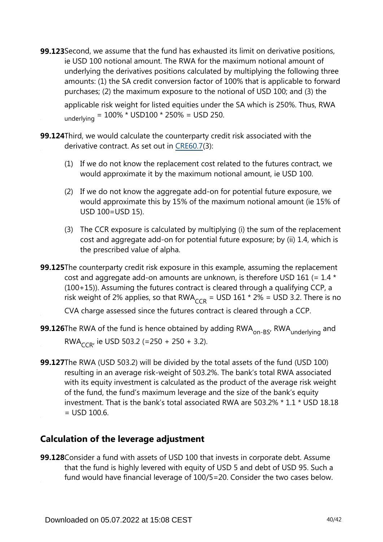**99.123** Second, we assume that the fund has exhausted its limit on derivative positions, ie USD 100 notional amount. The RWA for the maximum notional amount of underlying the derivatives positions calculated by multiplying the following three amounts: (1) the SA credit conversion factor of 100% that is applicable to forward purchases; (2) the maximum exposure to the notional of USD 100; and (3) the

applicable risk weight for listed equities under the SA which is 250%. Thus, RWA underlying =  $100\%$  \* USD100 \* 250% = USD 250.

**99.124**Third, we would calculate the counterparty credit risk associated with the derivative contract. As set out in [CRE60.7](https://www.bis.org/basel_framework/chapter/CRE/60.htm?inforce=20230101&published=20200327#paragraph_CRE_60_20230101_60_7)(3):

- (1) If we do not know the replacement cost related to the futures contract, we would approximate it by the maximum notional amount, ie USD 100.
- (2) If we do not know the aggregate add-on for potential future exposure, we would approximate this by 15% of the maximum notional amount (ie 15% of USD 100=USD 15).
- (3) The CCR exposure is calculated by multiplying (i) the sum of the replacement cost and aggregate add-on for potential future exposure; by (ii) 1.4, which is the prescribed value of alpha.

**99.125**The counterparty credit risk exposure in this example, assuming the replacement cost and aggregate add-on amounts are unknown, is therefore USD 161 (=  $1.4 \times$ (100+15)). Assuming the futures contract is cleared through a qualifying CCP, a risk weight of 2% applies, so that RWA<sub>CCR</sub> = USD 161 \* 2% = USD 3.2. There is no

CVA charge assessed since the futures contract is cleared through a CCP.

**99.126**The RWA of the fund is hence obtained by adding  $\mathsf{RWA}_{\mathsf{on-BS'}}$   $\mathsf{RWA}_{\mathsf{underlying}}$  and RWA<sub>CCR</sub>, ie USD 503.2 (=250 + 250 + 3.2).

**99.127**The RWA (USD 503.2) will be divided by the total assets of the fund (USD 100) resulting in an average risk-weight of 503.2%. The bank's total RWA associated with its equity investment is calculated as the product of the average risk weight of the fund, the fund's maximum leverage and the size of the bank's equity investment. That is the bank's total associated RWA are 503.2% \* 1.1 \* USD 18.18  $=$  USD 100.6.

## **Calculation of the leverage adjustment**

**99.128**Consider a fund with assets of USD 100 that invests in corporate debt. Assume that the fund is highly levered with equity of USD 5 and debt of USD 95. Such a fund would have financial leverage of 100/5=20. Consider the two cases below.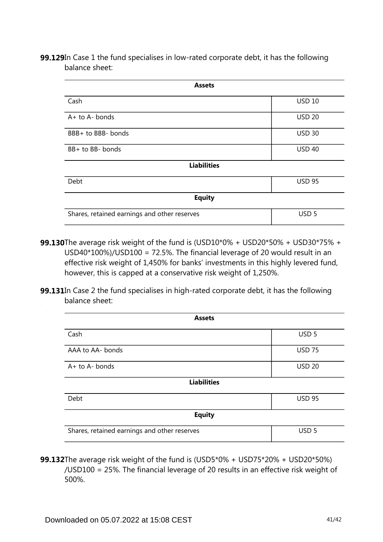**99.129**In Case 1 the fund specialises in low-rated corporate debt, it has the following balance sheet:

| <b>Assets</b>                                |                  |  |  |  |  |
|----------------------------------------------|------------------|--|--|--|--|
| Cash                                         | <b>USD 10</b>    |  |  |  |  |
| $A+$ to $A-$ bonds                           | <b>USD 20</b>    |  |  |  |  |
| BBB+ to BBB- bonds                           | <b>USD 30</b>    |  |  |  |  |
| BB+ to BB- bonds                             | <b>USD 40</b>    |  |  |  |  |
| <b>Liabilities</b>                           |                  |  |  |  |  |
| Debt                                         | <b>USD 95</b>    |  |  |  |  |
| <b>Equity</b>                                |                  |  |  |  |  |
| Shares, retained earnings and other reserves | USD <sub>5</sub> |  |  |  |  |

- The average risk weight of the fund is (USD10\*0% + USD20\*50% + USD30\*75% + **99.130** USD40\*100%)/USD100 = 72.5%. The financial leverage of 20 would result in an effective risk weight of 1,450% for banks' investments in this highly levered fund, however, this is capped at a conservative risk weight of 1,250%.
- **99.131**In Case 2 the fund specialises in high-rated corporate debt, it has the following balance sheet:

| <b>Assets</b>                                |                  |  |  |  |
|----------------------------------------------|------------------|--|--|--|
| Cash                                         | USD <sub>5</sub> |  |  |  |
| AAA to AA- bonds                             | <b>USD 75</b>    |  |  |  |
| $A+$ to $A-$ bonds                           | <b>USD 20</b>    |  |  |  |
| <b>Liabilities</b>                           |                  |  |  |  |
| Debt                                         | <b>USD 95</b>    |  |  |  |
| <b>Equity</b>                                |                  |  |  |  |
| Shares, retained earnings and other reserves | USD <sub>5</sub> |  |  |  |

**99.132**The average risk weight of the fund is (USD5\*0% + USD75\*20% + USD20\*50%) /USD100 = 25%. The financial leverage of 20 results in an effective risk weight of 500%.